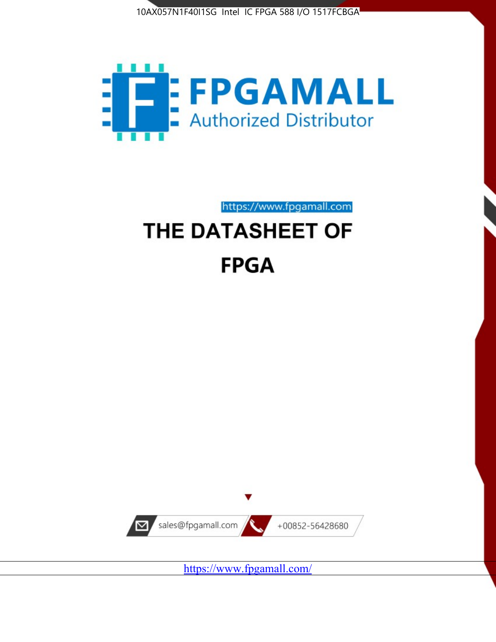



https://www.fpgamall.com THE DATASHEET OF

# **FPGA**



<https://www.fpgamall.com/>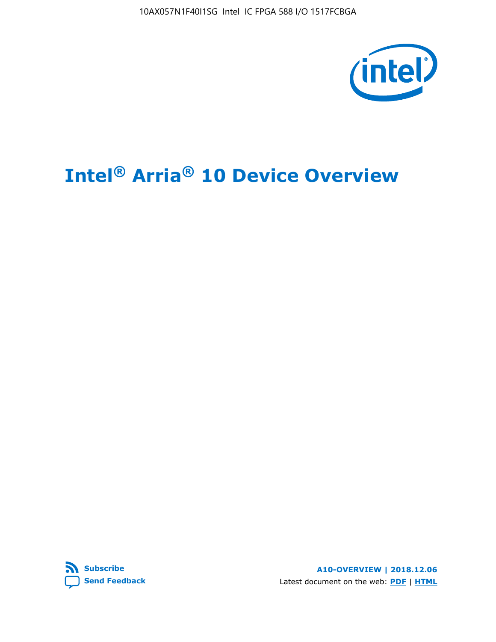10AX057N1F40I1SG Intel IC FPGA 588 I/O 1517FCBGA



## **Intel® Arria® 10 Device Overview**



**A10-OVERVIEW | 2018.12.06** Latest document on the web: **[PDF](https://www.intel.com/content/dam/www/programmable/us/en/pdfs/literature/hb/arria-10/a10_overview.pdf)** | **[HTML](https://www.intel.com/content/www/us/en/programmable/documentation/sam1403480274650.html)**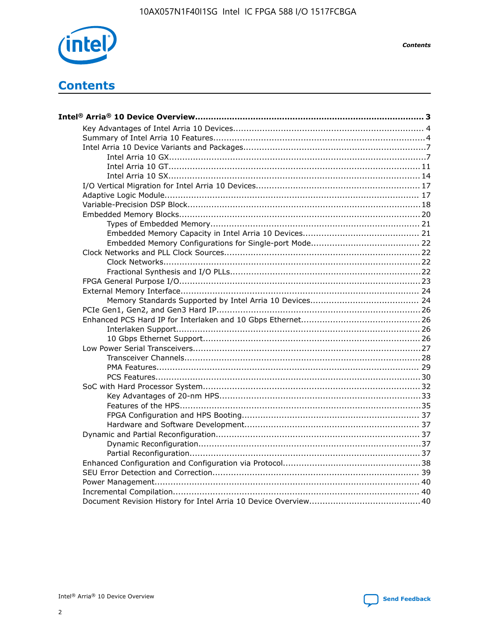

**Contents** 

## **Contents**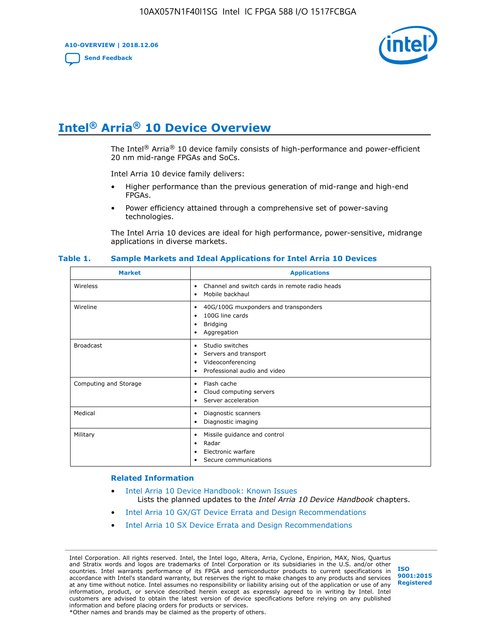**A10-OVERVIEW | 2018.12.06**

**[Send Feedback](mailto:FPGAtechdocfeedback@intel.com?subject=Feedback%20on%20Intel%20Arria%2010%20Device%20Overview%20(A10-OVERVIEW%202018.12.06)&body=We%20appreciate%20your%20feedback.%20In%20your%20comments,%20also%20specify%20the%20page%20number%20or%20paragraph.%20Thank%20you.)**



## **Intel® Arria® 10 Device Overview**

The Intel<sup>®</sup> Arria<sup>®</sup> 10 device family consists of high-performance and power-efficient 20 nm mid-range FPGAs and SoCs.

Intel Arria 10 device family delivers:

- Higher performance than the previous generation of mid-range and high-end FPGAs.
- Power efficiency attained through a comprehensive set of power-saving technologies.

The Intel Arria 10 devices are ideal for high performance, power-sensitive, midrange applications in diverse markets.

| <b>Market</b>         | <b>Applications</b>                                                                                               |
|-----------------------|-------------------------------------------------------------------------------------------------------------------|
| Wireless              | Channel and switch cards in remote radio heads<br>٠<br>Mobile backhaul<br>$\bullet$                               |
| Wireline              | 40G/100G muxponders and transponders<br>٠<br>100G line cards<br>٠<br><b>Bridging</b><br>٠<br>Aggregation<br>٠     |
| <b>Broadcast</b>      | Studio switches<br>٠<br>Servers and transport<br>٠<br>Videoconferencing<br>٠<br>Professional audio and video<br>٠ |
| Computing and Storage | Flash cache<br>٠<br>Cloud computing servers<br>٠<br>Server acceleration<br>٠                                      |
| Medical               | Diagnostic scanners<br>$\bullet$<br>Diagnostic imaging<br>٠                                                       |
| Military              | Missile guidance and control<br>٠<br>Radar<br>٠<br>Electronic warfare<br>٠<br>Secure communications<br>٠          |

#### **Table 1. Sample Markets and Ideal Applications for Intel Arria 10 Devices**

#### **Related Information**

- [Intel Arria 10 Device Handbook: Known Issues](http://www.altera.com/support/kdb/solutions/rd07302013_646.html) Lists the planned updates to the *Intel Arria 10 Device Handbook* chapters.
- [Intel Arria 10 GX/GT Device Errata and Design Recommendations](https://www.intel.com/content/www/us/en/programmable/documentation/agz1493851706374.html#yqz1494433888646)
- [Intel Arria 10 SX Device Errata and Design Recommendations](https://www.intel.com/content/www/us/en/programmable/documentation/cru1462832385668.html#cru1462832558642)

Intel Corporation. All rights reserved. Intel, the Intel logo, Altera, Arria, Cyclone, Enpirion, MAX, Nios, Quartus and Stratix words and logos are trademarks of Intel Corporation or its subsidiaries in the U.S. and/or other countries. Intel warrants performance of its FPGA and semiconductor products to current specifications in accordance with Intel's standard warranty, but reserves the right to make changes to any products and services at any time without notice. Intel assumes no responsibility or liability arising out of the application or use of any information, product, or service described herein except as expressly agreed to in writing by Intel. Intel customers are advised to obtain the latest version of device specifications before relying on any published information and before placing orders for products or services. \*Other names and brands may be claimed as the property of others.

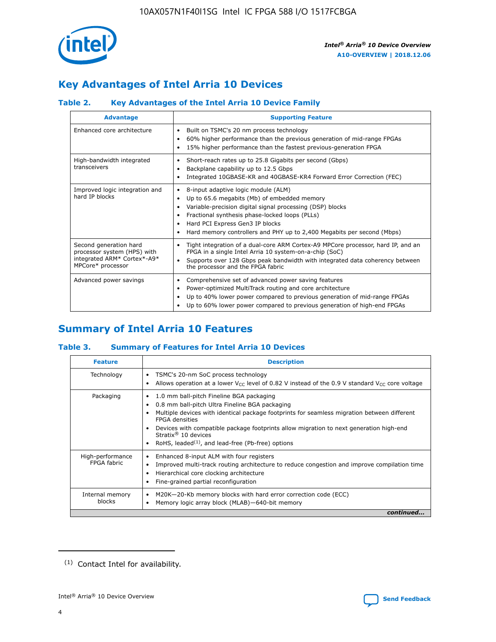

## **Key Advantages of Intel Arria 10 Devices**

## **Table 2. Key Advantages of the Intel Arria 10 Device Family**

| <b>Advantage</b>                                                                                          | <b>Supporting Feature</b>                                                                                                                                                                                                                                                                                                     |
|-----------------------------------------------------------------------------------------------------------|-------------------------------------------------------------------------------------------------------------------------------------------------------------------------------------------------------------------------------------------------------------------------------------------------------------------------------|
| Enhanced core architecture                                                                                | Built on TSMC's 20 nm process technology<br>$\bullet$<br>60% higher performance than the previous generation of mid-range FPGAs<br>٠<br>15% higher performance than the fastest previous-generation FPGA<br>٠                                                                                                                 |
| High-bandwidth integrated<br>transceivers                                                                 | Short-reach rates up to 25.8 Gigabits per second (Gbps)<br>٠<br>Backplane capability up to 12.5 Gbps<br>٠<br>Integrated 10GBASE-KR and 40GBASE-KR4 Forward Error Correction (FEC)<br>٠                                                                                                                                        |
| Improved logic integration and<br>hard IP blocks                                                          | 8-input adaptive logic module (ALM)<br>٠<br>Up to 65.6 megabits (Mb) of embedded memory<br>٠<br>Variable-precision digital signal processing (DSP) blocks<br>Fractional synthesis phase-locked loops (PLLs)<br>٠<br>Hard PCI Express Gen3 IP blocks<br>Hard memory controllers and PHY up to 2,400 Megabits per second (Mbps) |
| Second generation hard<br>processor system (HPS) with<br>integrated ARM* Cortex*-A9*<br>MPCore* processor | Tight integration of a dual-core ARM Cortex-A9 MPCore processor, hard IP, and an<br>٠<br>FPGA in a single Intel Arria 10 system-on-a-chip (SoC)<br>Supports over 128 Gbps peak bandwidth with integrated data coherency between<br>$\bullet$<br>the processor and the FPGA fabric                                             |
| Advanced power savings                                                                                    | Comprehensive set of advanced power saving features<br>٠<br>Power-optimized MultiTrack routing and core architecture<br>٠<br>Up to 40% lower power compared to previous generation of mid-range FPGAs<br>٠<br>Up to 60% lower power compared to previous generation of high-end FPGAs                                         |

## **Summary of Intel Arria 10 Features**

## **Table 3. Summary of Features for Intel Arria 10 Devices**

| <b>Feature</b>                  | <b>Description</b>                                                                                                                                                                                                                                                                                                                                                                                           |
|---------------------------------|--------------------------------------------------------------------------------------------------------------------------------------------------------------------------------------------------------------------------------------------------------------------------------------------------------------------------------------------------------------------------------------------------------------|
| Technology                      | TSMC's 20-nm SoC process technology<br>Allows operation at a lower $V_{\text{CC}}$ level of 0.82 V instead of the 0.9 V standard $V_{\text{CC}}$ core voltage                                                                                                                                                                                                                                                |
| Packaging                       | 1.0 mm ball-pitch Fineline BGA packaging<br>٠<br>0.8 mm ball-pitch Ultra Fineline BGA packaging<br>Multiple devices with identical package footprints for seamless migration between different<br><b>FPGA</b> densities<br>Devices with compatible package footprints allow migration to next generation high-end<br>Stratix <sup>®</sup> 10 devices<br>RoHS, leaded $(1)$ , and lead-free (Pb-free) options |
| High-performance<br>FPGA fabric | Enhanced 8-input ALM with four registers<br>Improved multi-track routing architecture to reduce congestion and improve compilation time<br>Hierarchical core clocking architecture<br>Fine-grained partial reconfiguration                                                                                                                                                                                   |
| Internal memory<br>blocks       | M20K-20-Kb memory blocks with hard error correction code (ECC)<br>Memory logic array block (MLAB)-640-bit memory                                                                                                                                                                                                                                                                                             |
|                                 | continued                                                                                                                                                                                                                                                                                                                                                                                                    |



<sup>(1)</sup> Contact Intel for availability.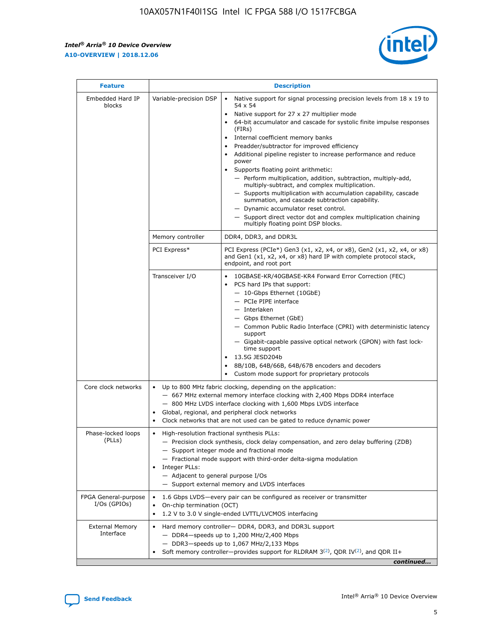$\mathsf{r}$ 



| <b>Feature</b>                         |                                                                                                                | <b>Description</b>                                                                                                                                                                                                                                                                                                                                                                                                                                                                                                                                                                                                                                                                                                                                                                                                                          |
|----------------------------------------|----------------------------------------------------------------------------------------------------------------|---------------------------------------------------------------------------------------------------------------------------------------------------------------------------------------------------------------------------------------------------------------------------------------------------------------------------------------------------------------------------------------------------------------------------------------------------------------------------------------------------------------------------------------------------------------------------------------------------------------------------------------------------------------------------------------------------------------------------------------------------------------------------------------------------------------------------------------------|
| Embedded Hard IP<br>blocks             | Variable-precision DSP                                                                                         | Native support for signal processing precision levels from $18 \times 19$ to<br>$\bullet$<br>54 x 54<br>Native support for 27 x 27 multiplier mode<br>64-bit accumulator and cascade for systolic finite impulse responses<br>(FIRs)<br>Internal coefficient memory banks<br>٠<br>Preadder/subtractor for improved efficiency<br>Additional pipeline register to increase performance and reduce<br>power<br>Supports floating point arithmetic:<br>- Perform multiplication, addition, subtraction, multiply-add,<br>multiply-subtract, and complex multiplication.<br>- Supports multiplication with accumulation capability, cascade<br>summation, and cascade subtraction capability.<br>- Dynamic accumulator reset control.<br>- Support direct vector dot and complex multiplication chaining<br>multiply floating point DSP blocks. |
|                                        | Memory controller                                                                                              | DDR4, DDR3, and DDR3L                                                                                                                                                                                                                                                                                                                                                                                                                                                                                                                                                                                                                                                                                                                                                                                                                       |
|                                        | PCI Express*                                                                                                   | PCI Express (PCIe*) Gen3 (x1, x2, x4, or x8), Gen2 (x1, x2, x4, or x8)<br>and Gen1 (x1, x2, x4, or x8) hard IP with complete protocol stack,<br>endpoint, and root port                                                                                                                                                                                                                                                                                                                                                                                                                                                                                                                                                                                                                                                                     |
|                                        | Transceiver I/O                                                                                                | 10GBASE-KR/40GBASE-KR4 Forward Error Correction (FEC)<br>PCS hard IPs that support:<br>- 10-Gbps Ethernet (10GbE)<br>- PCIe PIPE interface<br>- Interlaken<br>- Gbps Ethernet (GbE)<br>- Common Public Radio Interface (CPRI) with deterministic latency<br>support<br>- Gigabit-capable passive optical network (GPON) with fast lock-<br>time support<br>13.5G JESD204b<br>$\bullet$<br>8B/10B, 64B/66B, 64B/67B encoders and decoders<br>Custom mode support for proprietary protocols                                                                                                                                                                                                                                                                                                                                                   |
| Core clock networks                    | $\bullet$<br>$\bullet$                                                                                         | Up to 800 MHz fabric clocking, depending on the application:<br>- 667 MHz external memory interface clocking with 2,400 Mbps DDR4 interface<br>- 800 MHz LVDS interface clocking with 1,600 Mbps LVDS interface<br>Global, regional, and peripheral clock networks<br>Clock networks that are not used can be gated to reduce dynamic power                                                                                                                                                                                                                                                                                                                                                                                                                                                                                                 |
| Phase-locked loops<br>(PLLs)           | High-resolution fractional synthesis PLLs:<br>$\bullet$<br>Integer PLLs:<br>- Adjacent to general purpose I/Os | - Precision clock synthesis, clock delay compensation, and zero delay buffering (ZDB)<br>- Support integer mode and fractional mode<br>- Fractional mode support with third-order delta-sigma modulation<br>- Support external memory and LVDS interfaces                                                                                                                                                                                                                                                                                                                                                                                                                                                                                                                                                                                   |
| FPGA General-purpose<br>$I/Os$ (GPIOs) | On-chip termination (OCT)<br>$\bullet$                                                                         | 1.6 Gbps LVDS-every pair can be configured as receiver or transmitter<br>1.2 V to 3.0 V single-ended LVTTL/LVCMOS interfacing                                                                                                                                                                                                                                                                                                                                                                                                                                                                                                                                                                                                                                                                                                               |
| <b>External Memory</b><br>Interface    |                                                                                                                | Hard memory controller- DDR4, DDR3, and DDR3L support<br>$-$ DDR4 $-$ speeds up to 1,200 MHz/2,400 Mbps<br>- DDR3-speeds up to 1,067 MHz/2,133 Mbps<br>Soft memory controller—provides support for RLDRAM $3^{(2)}$ , QDR IV $(2^2)$ , and QDR II+<br>continued                                                                                                                                                                                                                                                                                                                                                                                                                                                                                                                                                                             |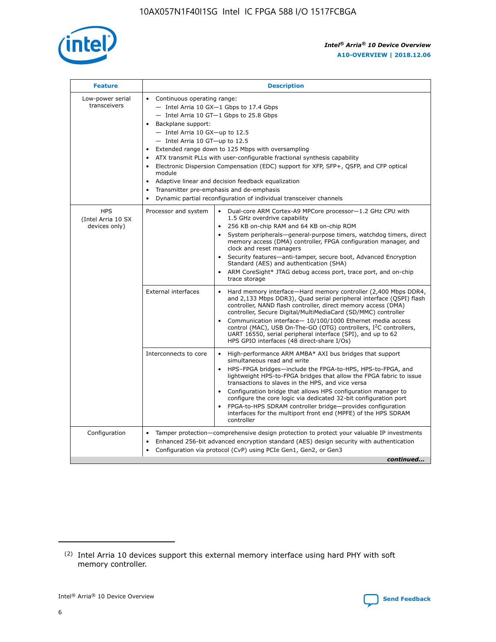

| <b>Feature</b>                                    | <b>Description</b>                                                                                                                                                                                                                                                                                                                                                                                                                                                                                                                                                                                                                           |
|---------------------------------------------------|----------------------------------------------------------------------------------------------------------------------------------------------------------------------------------------------------------------------------------------------------------------------------------------------------------------------------------------------------------------------------------------------------------------------------------------------------------------------------------------------------------------------------------------------------------------------------------------------------------------------------------------------|
| Low-power serial<br>transceivers                  | • Continuous operating range:<br>- Intel Arria 10 GX-1 Gbps to 17.4 Gbps<br>- Intel Arria 10 GT-1 Gbps to 25.8 Gbps<br>Backplane support:<br>$-$ Intel Arria 10 GX-up to 12.5<br>$-$ Intel Arria 10 GT-up to 12.5<br>Extended range down to 125 Mbps with oversampling<br>ATX transmit PLLs with user-configurable fractional synthesis capability<br>Electronic Dispersion Compensation (EDC) support for XFP, SFP+, QSFP, and CFP optical<br>module<br>• Adaptive linear and decision feedback equalization<br>Transmitter pre-emphasis and de-emphasis<br>$\bullet$<br>Dynamic partial reconfiguration of individual transceiver channels |
| <b>HPS</b><br>(Intel Arria 10 SX<br>devices only) | Dual-core ARM Cortex-A9 MPCore processor-1.2 GHz CPU with<br>Processor and system<br>$\bullet$<br>1.5 GHz overdrive capability<br>256 KB on-chip RAM and 64 KB on-chip ROM<br>System peripherals-general-purpose timers, watchdog timers, direct<br>memory access (DMA) controller, FPGA configuration manager, and<br>clock and reset managers<br>Security features-anti-tamper, secure boot, Advanced Encryption<br>$\bullet$<br>Standard (AES) and authentication (SHA)<br>ARM CoreSight* JTAG debug access port, trace port, and on-chip<br>trace storage                                                                                |
|                                                   | <b>External interfaces</b><br>Hard memory interface-Hard memory controller (2,400 Mbps DDR4,<br>$\bullet$<br>and 2,133 Mbps DDR3), Quad serial peripheral interface (QSPI) flash<br>controller, NAND flash controller, direct memory access (DMA)<br>controller, Secure Digital/MultiMediaCard (SD/MMC) controller<br>Communication interface-10/100/1000 Ethernet media access<br>$\bullet$<br>control (MAC), USB On-The-GO (OTG) controllers, I <sup>2</sup> C controllers,<br>UART 16550, serial peripheral interface (SPI), and up to 62<br>HPS GPIO interfaces (48 direct-share I/Os)                                                   |
|                                                   | High-performance ARM AMBA* AXI bus bridges that support<br>Interconnects to core<br>$\bullet$<br>simultaneous read and write<br>HPS-FPGA bridges-include the FPGA-to-HPS, HPS-to-FPGA, and<br>$\bullet$<br>lightweight HPS-to-FPGA bridges that allow the FPGA fabric to issue<br>transactions to slaves in the HPS, and vice versa<br>Configuration bridge that allows HPS configuration manager to<br>configure the core logic via dedicated 32-bit configuration port<br>FPGA-to-HPS SDRAM controller bridge-provides configuration<br>interfaces for the multiport front end (MPFE) of the HPS SDRAM<br>controller                       |
| Configuration                                     | Tamper protection—comprehensive design protection to protect your valuable IP investments<br>Enhanced 256-bit advanced encryption standard (AES) design security with authentication<br>٠<br>Configuration via protocol (CvP) using PCIe Gen1, Gen2, or Gen3<br>continued                                                                                                                                                                                                                                                                                                                                                                    |

<sup>(2)</sup> Intel Arria 10 devices support this external memory interface using hard PHY with soft memory controller.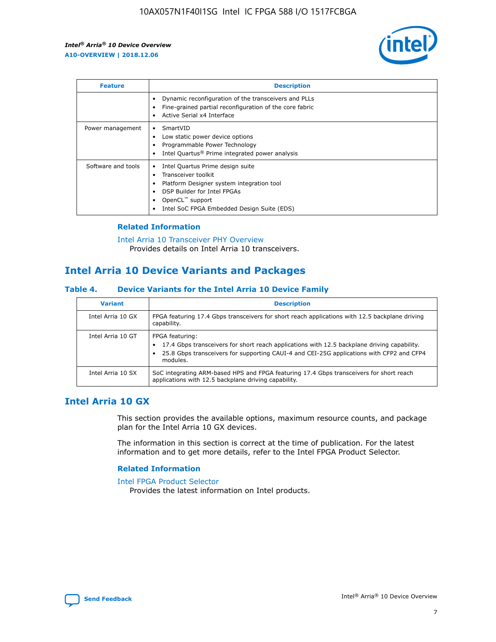

| <b>Feature</b>     | <b>Description</b>                                                                                                                                                                                                            |
|--------------------|-------------------------------------------------------------------------------------------------------------------------------------------------------------------------------------------------------------------------------|
|                    | Dynamic reconfiguration of the transceivers and PLLs<br>Fine-grained partial reconfiguration of the core fabric<br>Active Serial x4 Interface<br>$\bullet$                                                                    |
| Power management   | SmartVID<br>Low static power device options<br>Programmable Power Technology<br>Intel Quartus <sup>®</sup> Prime integrated power analysis                                                                                    |
| Software and tools | Intel Quartus Prime design suite<br>Transceiver toolkit<br>$\bullet$<br>Platform Designer system integration tool<br>DSP Builder for Intel FPGAs<br>OpenCL <sup>™</sup> support<br>Intel SoC FPGA Embedded Design Suite (EDS) |

## **Related Information**

[Intel Arria 10 Transceiver PHY Overview](https://www.intel.com/content/www/us/en/programmable/documentation/nik1398707230472.html#nik1398706768037) Provides details on Intel Arria 10 transceivers.

## **Intel Arria 10 Device Variants and Packages**

#### **Table 4. Device Variants for the Intel Arria 10 Device Family**

| <b>Variant</b>    | <b>Description</b>                                                                                                                                                                                                     |
|-------------------|------------------------------------------------------------------------------------------------------------------------------------------------------------------------------------------------------------------------|
| Intel Arria 10 GX | FPGA featuring 17.4 Gbps transceivers for short reach applications with 12.5 backplane driving<br>capability.                                                                                                          |
| Intel Arria 10 GT | FPGA featuring:<br>17.4 Gbps transceivers for short reach applications with 12.5 backplane driving capability.<br>25.8 Gbps transceivers for supporting CAUI-4 and CEI-25G applications with CFP2 and CFP4<br>modules. |
| Intel Arria 10 SX | SoC integrating ARM-based HPS and FPGA featuring 17.4 Gbps transceivers for short reach<br>applications with 12.5 backplane driving capability.                                                                        |

## **Intel Arria 10 GX**

This section provides the available options, maximum resource counts, and package plan for the Intel Arria 10 GX devices.

The information in this section is correct at the time of publication. For the latest information and to get more details, refer to the Intel FPGA Product Selector.

### **Related Information**

#### [Intel FPGA Product Selector](http://www.altera.com/products/selector/psg-selector.html) Provides the latest information on Intel products.

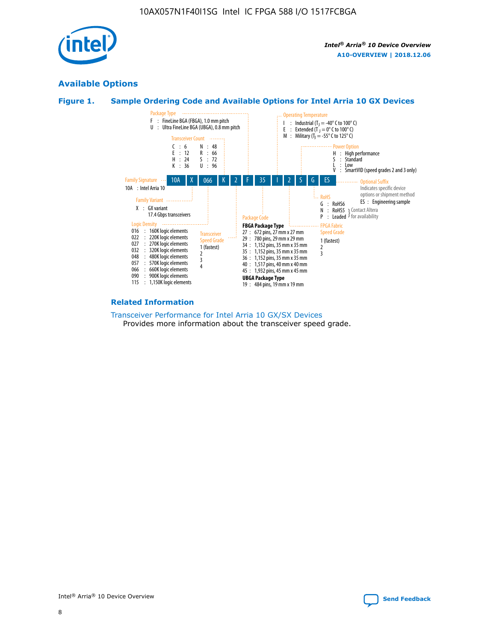

## **Available Options**





#### **Related Information**

[Transceiver Performance for Intel Arria 10 GX/SX Devices](https://www.intel.com/content/www/us/en/programmable/documentation/mcn1413182292568.html#mcn1413213965502) Provides more information about the transceiver speed grade.

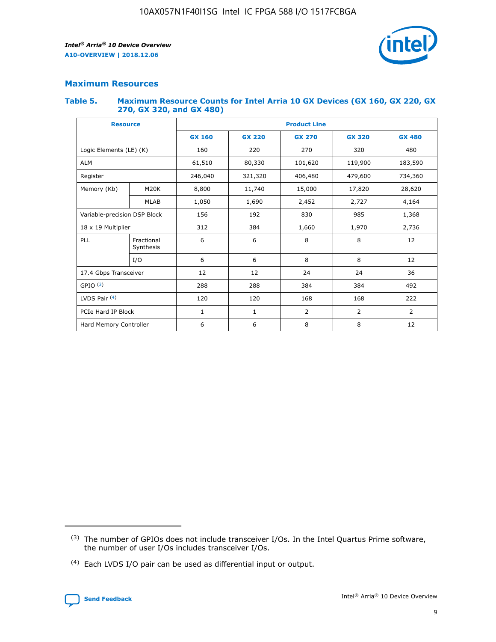

## **Maximum Resources**

### **Table 5. Maximum Resource Counts for Intel Arria 10 GX Devices (GX 160, GX 220, GX 270, GX 320, and GX 480)**

| <b>Resource</b>              |                         | <b>Product Line</b> |                                |                |                |                |  |  |  |
|------------------------------|-------------------------|---------------------|--------------------------------|----------------|----------------|----------------|--|--|--|
|                              |                         | <b>GX 160</b>       | <b>GX 220</b><br><b>GX 270</b> |                | <b>GX 320</b>  | <b>GX 480</b>  |  |  |  |
| Logic Elements (LE) (K)      |                         | 160                 | 220                            | 270            | 320            | 480            |  |  |  |
| <b>ALM</b>                   |                         | 61,510              | 80,330                         | 101,620        | 119,900        | 183,590        |  |  |  |
| Register                     |                         | 246,040             | 406,480<br>321,320             |                | 479,600        | 734,360        |  |  |  |
| Memory (Kb)                  | M <sub>20</sub> K       | 8,800               | 11,740<br>15,000               |                | 17,820         | 28,620         |  |  |  |
| <b>MLAB</b>                  |                         | 1,050               | 1,690                          | 2,452          | 2,727          | 4,164          |  |  |  |
| Variable-precision DSP Block |                         | 156                 | 192<br>830<br>985              |                |                | 1,368          |  |  |  |
| 18 x 19 Multiplier           |                         | 312                 | 384                            | 1,970<br>1,660 |                | 2,736          |  |  |  |
| PLL                          | Fractional<br>Synthesis | 6                   | 6                              | 8              | 8              | 12             |  |  |  |
|                              | I/O                     | 6                   | 6                              | 8              | 8              | 12             |  |  |  |
| 17.4 Gbps Transceiver        |                         | 12                  | 12                             | 24<br>24       |                | 36             |  |  |  |
| GPIO <sup>(3)</sup>          |                         | 288                 | 288                            | 384<br>384     |                | 492            |  |  |  |
| LVDS Pair $(4)$              |                         | 120                 | 120                            | 168            | 168            | 222            |  |  |  |
| PCIe Hard IP Block           |                         | 1                   | 1                              | 2              | $\overline{2}$ | $\overline{2}$ |  |  |  |
| Hard Memory Controller       |                         | 6                   | 6                              | 8              | 8              | 12             |  |  |  |

<sup>(4)</sup> Each LVDS I/O pair can be used as differential input or output.



<sup>(3)</sup> The number of GPIOs does not include transceiver I/Os. In the Intel Quartus Prime software, the number of user I/Os includes transceiver I/Os.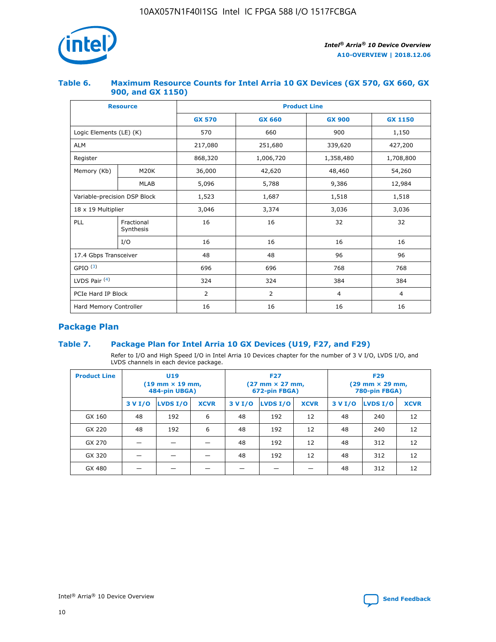

## **Table 6. Maximum Resource Counts for Intel Arria 10 GX Devices (GX 570, GX 660, GX 900, and GX 1150)**

|                              | <b>Resource</b>         | <b>Product Line</b> |                |                |                |  |  |  |  |
|------------------------------|-------------------------|---------------------|----------------|----------------|----------------|--|--|--|--|
|                              |                         | <b>GX 570</b>       | <b>GX 660</b>  | <b>GX 900</b>  | <b>GX 1150</b> |  |  |  |  |
| Logic Elements (LE) (K)      |                         | 570                 | 660            | 900            | 1,150          |  |  |  |  |
| <b>ALM</b>                   |                         | 217,080             | 251,680        | 339,620        | 427,200        |  |  |  |  |
| Register                     |                         | 868,320             | 1,006,720      | 1,358,480      | 1,708,800      |  |  |  |  |
| Memory (Kb)                  | <b>M20K</b>             | 36,000              | 42,620         | 48,460         | 54,260         |  |  |  |  |
|                              | <b>MLAB</b>             | 5,096               | 5,788          | 9,386          | 12,984         |  |  |  |  |
| Variable-precision DSP Block |                         | 1,523               | 1,687          | 1,518          | 1,518          |  |  |  |  |
| $18 \times 19$ Multiplier    |                         | 3,046               | 3,374          | 3,036          | 3,036          |  |  |  |  |
| PLL                          | Fractional<br>Synthesis | 16                  | 16             | 32             | 32             |  |  |  |  |
|                              | I/O                     | 16                  | 16             | 16             | 16             |  |  |  |  |
| 17.4 Gbps Transceiver        |                         | 48                  | 48             | 96             | 96             |  |  |  |  |
| GPIO <sup>(3)</sup>          |                         | 696                 | 696            | 768            | 768            |  |  |  |  |
| LVDS Pair $(4)$              |                         | 324                 | 324            | 384            | 384            |  |  |  |  |
| PCIe Hard IP Block           |                         | 2                   | $\overline{2}$ | $\overline{4}$ | 4              |  |  |  |  |
| Hard Memory Controller       |                         | 16                  | 16             | 16             | 16             |  |  |  |  |

## **Package Plan**

## **Table 7. Package Plan for Intel Arria 10 GX Devices (U19, F27, and F29)**

Refer to I/O and High Speed I/O in Intel Arria 10 Devices chapter for the number of 3 V I/O, LVDS I/O, and LVDS channels in each device package.

| <b>Product Line</b> | <b>U19</b><br>$(19 \text{ mm} \times 19 \text{ mm})$<br>484-pin UBGA) |          |             |         | <b>F27</b><br>(27 mm × 27 mm,<br>672-pin FBGA) |             | <b>F29</b><br>(29 mm × 29 mm,<br>780-pin FBGA) |          |             |  |
|---------------------|-----------------------------------------------------------------------|----------|-------------|---------|------------------------------------------------|-------------|------------------------------------------------|----------|-------------|--|
|                     | 3 V I/O                                                               | LVDS I/O | <b>XCVR</b> | 3 V I/O | <b>LVDS I/O</b>                                | <b>XCVR</b> | 3 V I/O                                        | LVDS I/O | <b>XCVR</b> |  |
| GX 160              | 48                                                                    | 192      | 6           | 48      | 192                                            | 12          | 48                                             | 240      | 12          |  |
| GX 220              | 48                                                                    | 192      | 6           | 48      | 192                                            | 12          | 48                                             | 240      | 12          |  |
| GX 270              |                                                                       |          |             | 48      | 192                                            | 12          | 48                                             | 312      | 12          |  |
| GX 320              |                                                                       |          |             | 48      | 192                                            | 12          | 48                                             | 312      | 12          |  |
| GX 480              |                                                                       |          |             |         |                                                |             | 48                                             | 312      | 12          |  |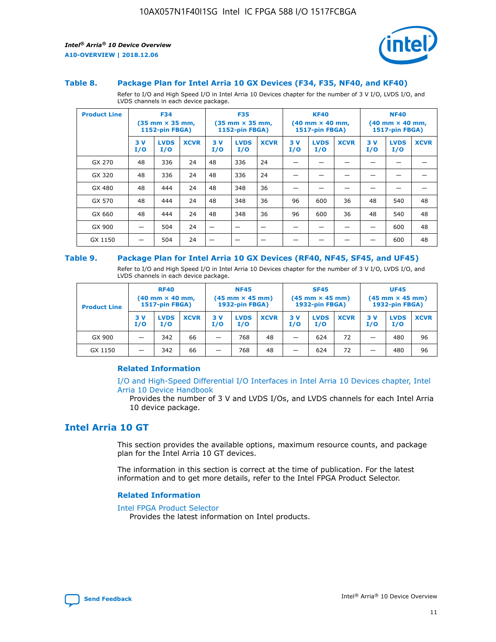

### **Table 8. Package Plan for Intel Arria 10 GX Devices (F34, F35, NF40, and KF40)**

Refer to I/O and High Speed I/O in Intel Arria 10 Devices chapter for the number of 3 V I/O, LVDS I/O, and LVDS channels in each device package.

| <b>Product Line</b> | <b>F34</b><br>$(35 \text{ mm} \times 35 \text{ mm})$<br>1152-pin FBGA) |                    | <b>F35</b><br>$(35 \text{ mm} \times 35 \text{ mm})$<br><b>1152-pin FBGA)</b> |           | <b>KF40</b><br>$(40$ mm $\times$ 40 mm,<br>1517-pin FBGA) |             |           | <b>NF40</b><br>$(40$ mm $\times$ 40 mm,<br><b>1517-pin FBGA)</b> |             |            |                    |             |
|---------------------|------------------------------------------------------------------------|--------------------|-------------------------------------------------------------------------------|-----------|-----------------------------------------------------------|-------------|-----------|------------------------------------------------------------------|-------------|------------|--------------------|-------------|
|                     | 3V<br>I/O                                                              | <b>LVDS</b><br>I/O | <b>XCVR</b>                                                                   | 3V<br>I/O | <b>LVDS</b><br>I/O                                        | <b>XCVR</b> | 3V<br>I/O | <b>LVDS</b><br>I/O                                               | <b>XCVR</b> | 3 V<br>I/O | <b>LVDS</b><br>I/O | <b>XCVR</b> |
| GX 270              | 48                                                                     | 336                | 24                                                                            | 48        | 336                                                       | 24          |           |                                                                  |             |            |                    |             |
| GX 320              | 48                                                                     | 336                | 24                                                                            | 48        | 336                                                       | 24          |           |                                                                  |             |            |                    |             |
| GX 480              | 48                                                                     | 444                | 24                                                                            | 48        | 348                                                       | 36          |           |                                                                  |             |            |                    |             |
| GX 570              | 48                                                                     | 444                | 24                                                                            | 48        | 348                                                       | 36          | 96        | 600                                                              | 36          | 48         | 540                | 48          |
| GX 660              | 48                                                                     | 444                | 24                                                                            | 48        | 348                                                       | 36          | 96        | 600                                                              | 36          | 48         | 540                | 48          |
| GX 900              |                                                                        | 504                | 24                                                                            | -         |                                                           |             |           |                                                                  |             |            | 600                | 48          |
| GX 1150             |                                                                        | 504                | 24                                                                            |           |                                                           |             |           |                                                                  |             |            | 600                | 48          |

#### **Table 9. Package Plan for Intel Arria 10 GX Devices (RF40, NF45, SF45, and UF45)**

Refer to I/O and High Speed I/O in Intel Arria 10 Devices chapter for the number of 3 V I/O, LVDS I/O, and LVDS channels in each device package.

| <b>Product Line</b> | <b>RF40</b><br>$(40$ mm $\times$ 40 mm,<br>1517-pin FBGA) |                    | <b>NF45</b><br>$(45 \text{ mm} \times 45 \text{ mm})$<br><b>1932-pin FBGA)</b> |            |                    | <b>SF45</b><br>$(45 \text{ mm} \times 45 \text{ mm})$<br><b>1932-pin FBGA)</b> |            |                    | <b>UF45</b><br>$(45 \text{ mm} \times 45 \text{ mm})$<br><b>1932-pin FBGA)</b> |           |                    |             |
|---------------------|-----------------------------------------------------------|--------------------|--------------------------------------------------------------------------------|------------|--------------------|--------------------------------------------------------------------------------|------------|--------------------|--------------------------------------------------------------------------------|-----------|--------------------|-------------|
|                     | 3V<br>I/O                                                 | <b>LVDS</b><br>I/O | <b>XCVR</b>                                                                    | 3 V<br>I/O | <b>LVDS</b><br>I/O | <b>XCVR</b>                                                                    | 3 V<br>I/O | <b>LVDS</b><br>I/O | <b>XCVR</b>                                                                    | 3V<br>I/O | <b>LVDS</b><br>I/O | <b>XCVR</b> |
| GX 900              |                                                           | 342                | 66                                                                             | _          | 768                | 48                                                                             |            | 624                | 72                                                                             |           | 480                | 96          |
| GX 1150             |                                                           | 342                | 66                                                                             | _          | 768                | 48                                                                             |            | 624                | 72                                                                             |           | 480                | 96          |

## **Related Information**

[I/O and High-Speed Differential I/O Interfaces in Intel Arria 10 Devices chapter, Intel](https://www.intel.com/content/www/us/en/programmable/documentation/sam1403482614086.html#sam1403482030321) [Arria 10 Device Handbook](https://www.intel.com/content/www/us/en/programmable/documentation/sam1403482614086.html#sam1403482030321)

Provides the number of 3 V and LVDS I/Os, and LVDS channels for each Intel Arria 10 device package.

## **Intel Arria 10 GT**

This section provides the available options, maximum resource counts, and package plan for the Intel Arria 10 GT devices.

The information in this section is correct at the time of publication. For the latest information and to get more details, refer to the Intel FPGA Product Selector.

#### **Related Information**

#### [Intel FPGA Product Selector](http://www.altera.com/products/selector/psg-selector.html)

Provides the latest information on Intel products.

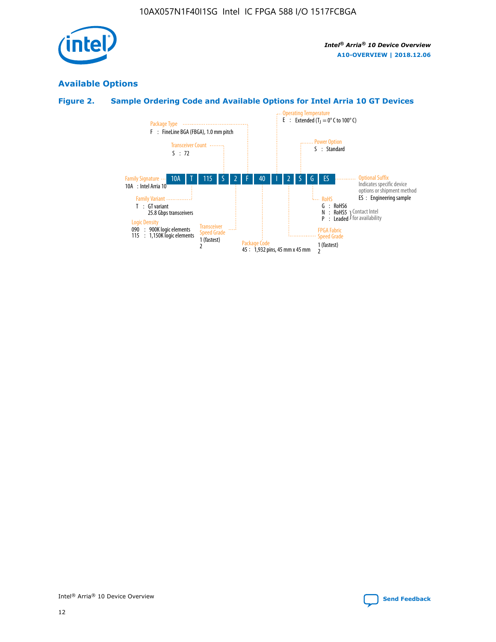

## **Available Options**

## **Figure 2. Sample Ordering Code and Available Options for Intel Arria 10 GT Devices**

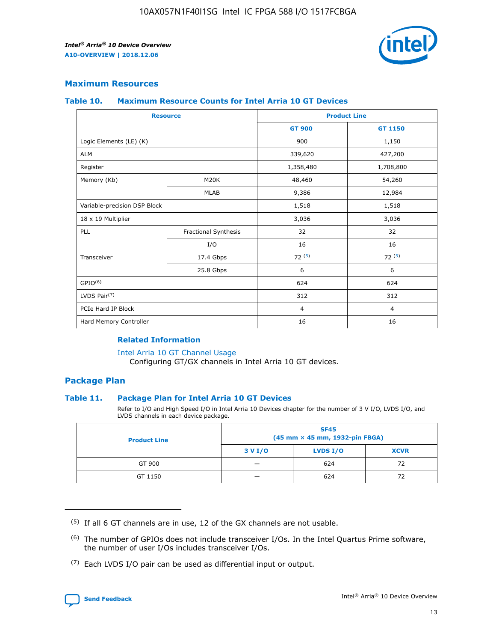

## **Maximum Resources**

#### **Table 10. Maximum Resource Counts for Intel Arria 10 GT Devices**

| <b>Resource</b>              |                      |                | <b>Product Line</b> |  |
|------------------------------|----------------------|----------------|---------------------|--|
|                              |                      | <b>GT 900</b>  | <b>GT 1150</b>      |  |
| Logic Elements (LE) (K)      |                      | 900            | 1,150               |  |
| <b>ALM</b>                   |                      | 339,620        | 427,200             |  |
| Register                     |                      | 1,358,480      | 1,708,800           |  |
| Memory (Kb)                  | M20K                 | 48,460         | 54,260              |  |
|                              | <b>MLAB</b>          | 9,386          | 12,984              |  |
| Variable-precision DSP Block |                      | 1,518          | 1,518               |  |
| 18 x 19 Multiplier           |                      | 3,036          | 3,036               |  |
| PLL                          | Fractional Synthesis | 32             | 32                  |  |
|                              | I/O                  | 16             | 16                  |  |
| Transceiver                  | 17.4 Gbps            | 72(5)          | 72(5)               |  |
|                              | 25.8 Gbps            | 6              | 6                   |  |
| GPIO <sup>(6)</sup>          |                      | 624            | 624                 |  |
| LVDS Pair $(7)$              |                      | 312            | 312                 |  |
| PCIe Hard IP Block           |                      | $\overline{4}$ | $\overline{4}$      |  |
| Hard Memory Controller       |                      | 16             | 16                  |  |

### **Related Information**

#### [Intel Arria 10 GT Channel Usage](https://www.intel.com/content/www/us/en/programmable/documentation/nik1398707230472.html#nik1398707008178)

Configuring GT/GX channels in Intel Arria 10 GT devices.

## **Package Plan**

## **Table 11. Package Plan for Intel Arria 10 GT Devices**

Refer to I/O and High Speed I/O in Intel Arria 10 Devices chapter for the number of 3 V I/O, LVDS I/O, and LVDS channels in each device package.

| <b>Product Line</b> | <b>SF45</b><br>(45 mm × 45 mm, 1932-pin FBGA) |                 |             |  |  |  |
|---------------------|-----------------------------------------------|-----------------|-------------|--|--|--|
|                     | 3 V I/O                                       | <b>LVDS I/O</b> | <b>XCVR</b> |  |  |  |
| GT 900              |                                               | 624             | 72          |  |  |  |
| GT 1150             |                                               | 624             | 72          |  |  |  |

<sup>(7)</sup> Each LVDS I/O pair can be used as differential input or output.



 $(5)$  If all 6 GT channels are in use, 12 of the GX channels are not usable.

<sup>(6)</sup> The number of GPIOs does not include transceiver I/Os. In the Intel Quartus Prime software, the number of user I/Os includes transceiver I/Os.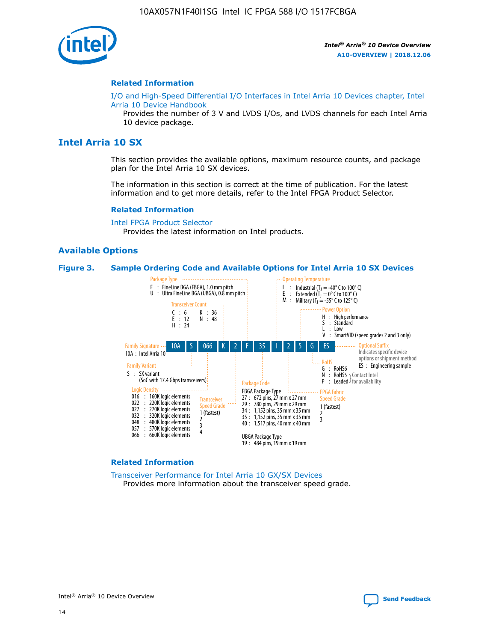

### **Related Information**

[I/O and High-Speed Differential I/O Interfaces in Intel Arria 10 Devices chapter, Intel](https://www.intel.com/content/www/us/en/programmable/documentation/sam1403482614086.html#sam1403482030321) [Arria 10 Device Handbook](https://www.intel.com/content/www/us/en/programmable/documentation/sam1403482614086.html#sam1403482030321)

Provides the number of 3 V and LVDS I/Os, and LVDS channels for each Intel Arria 10 device package.

## **Intel Arria 10 SX**

This section provides the available options, maximum resource counts, and package plan for the Intel Arria 10 SX devices.

The information in this section is correct at the time of publication. For the latest information and to get more details, refer to the Intel FPGA Product Selector.

#### **Related Information**

[Intel FPGA Product Selector](http://www.altera.com/products/selector/psg-selector.html) Provides the latest information on Intel products.

#### **Available Options**

#### **Figure 3. Sample Ordering Code and Available Options for Intel Arria 10 SX Devices**



#### **Related Information**

[Transceiver Performance for Intel Arria 10 GX/SX Devices](https://www.intel.com/content/www/us/en/programmable/documentation/mcn1413182292568.html#mcn1413213965502) Provides more information about the transceiver speed grade.

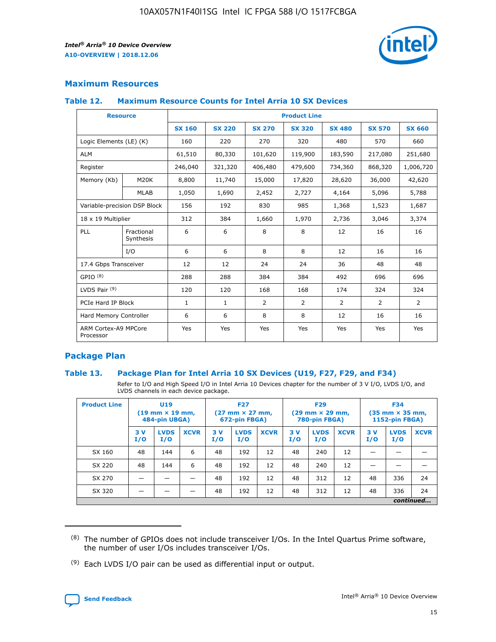

## **Maximum Resources**

## **Table 12. Maximum Resource Counts for Intel Arria 10 SX Devices**

| <b>Resource</b>                   |                         | <b>Product Line</b> |               |                |                |                |                |                |  |  |  |
|-----------------------------------|-------------------------|---------------------|---------------|----------------|----------------|----------------|----------------|----------------|--|--|--|
|                                   |                         | <b>SX 160</b>       | <b>SX 220</b> | <b>SX 270</b>  | <b>SX 320</b>  | <b>SX 480</b>  | <b>SX 570</b>  | <b>SX 660</b>  |  |  |  |
| Logic Elements (LE) (K)           |                         | 160                 | 220           | 270            | 320            | 480            | 570            | 660            |  |  |  |
| <b>ALM</b>                        |                         | 61,510              | 80,330        | 101,620        | 119,900        | 183,590        | 217,080        | 251,680        |  |  |  |
| Register                          |                         | 246,040             | 321,320       | 406,480        | 479,600        | 734,360        | 868,320        | 1,006,720      |  |  |  |
| Memory (Kb)                       | M <sub>20</sub> K       | 8,800               | 11,740        | 15,000         | 17,820         | 28,620         | 36,000         | 42,620         |  |  |  |
|                                   | <b>MLAB</b>             | 1,050               | 1,690         | 2,452          | 2,727          | 4,164          | 5,096          | 5,788          |  |  |  |
| Variable-precision DSP Block      |                         | 156                 | 192           | 830            | 985            | 1,368          | 1,523          | 1,687          |  |  |  |
| 18 x 19 Multiplier                |                         | 312                 | 384           | 1,660          | 1,970          | 2,736          | 3,046          | 3,374          |  |  |  |
| PLL                               | Fractional<br>Synthesis | 6                   | 6             | 8              | 8              | 12             | 16             | 16             |  |  |  |
|                                   | I/O                     | 6                   | 6             | 8              | 8              | 12             | 16             | 16             |  |  |  |
| 17.4 Gbps Transceiver             |                         | 12                  | 12            | 24             | 24             | 36             | 48             | 48             |  |  |  |
| GPIO <sup>(8)</sup>               |                         | 288                 | 288           | 384            | 384            | 492            | 696            | 696            |  |  |  |
| LVDS Pair $(9)$                   |                         | 120                 | 120           | 168            | 168            | 174            | 324            | 324            |  |  |  |
| PCIe Hard IP Block                |                         | $\mathbf{1}$        | $\mathbf{1}$  | $\overline{2}$ | $\overline{2}$ | $\overline{2}$ | $\overline{2}$ | $\overline{2}$ |  |  |  |
| Hard Memory Controller            |                         | 6                   | 6             | 8              | 8              | 12             | 16             | 16             |  |  |  |
| ARM Cortex-A9 MPCore<br>Processor |                         | Yes                 | Yes           | Yes            | Yes            | Yes            | Yes            | <b>Yes</b>     |  |  |  |

## **Package Plan**

## **Table 13. Package Plan for Intel Arria 10 SX Devices (U19, F27, F29, and F34)**

Refer to I/O and High Speed I/O in Intel Arria 10 Devices chapter for the number of 3 V I/O, LVDS I/O, and LVDS channels in each device package.

| <b>Product Line</b> | U <sub>19</sub><br>$(19 \text{ mm} \times 19 \text{ mm})$<br>484-pin UBGA) |                    | <b>F27</b><br>$(27 \text{ mm} \times 27 \text{ mm})$<br>672-pin FBGA) |           | <b>F29</b><br>$(29 \text{ mm} \times 29 \text{ mm})$<br>780-pin FBGA) |             |            | <b>F34</b><br>$(35 \text{ mm} \times 35 \text{ mm})$<br><b>1152-pin FBGA)</b> |             |           |                    |             |
|---------------------|----------------------------------------------------------------------------|--------------------|-----------------------------------------------------------------------|-----------|-----------------------------------------------------------------------|-------------|------------|-------------------------------------------------------------------------------|-------------|-----------|--------------------|-------------|
|                     | 3V<br>I/O                                                                  | <b>LVDS</b><br>I/O | <b>XCVR</b>                                                           | 3V<br>I/O | <b>LVDS</b><br>I/O                                                    | <b>XCVR</b> | 3 V<br>I/O | <b>LVDS</b><br>I/O                                                            | <b>XCVR</b> | 3V<br>I/O | <b>LVDS</b><br>I/O | <b>XCVR</b> |
| SX 160              | 48                                                                         | 144                | 6                                                                     | 48        | 192                                                                   | 12          | 48         | 240                                                                           | 12          | –         |                    |             |
| SX 220              | 48                                                                         | 144                | 6                                                                     | 48        | 192                                                                   | 12          | 48         | 240                                                                           | 12          |           |                    |             |
| SX 270              |                                                                            |                    |                                                                       | 48        | 192                                                                   | 12          | 48         | 312                                                                           | 12          | 48        | 336                | 24          |
| SX 320              |                                                                            |                    |                                                                       | 48        | 192                                                                   | 12          | 48         | 312                                                                           | 12          | 48        | 336                | 24          |
|                     | continued                                                                  |                    |                                                                       |           |                                                                       |             |            |                                                                               |             |           |                    |             |

 $(8)$  The number of GPIOs does not include transceiver I/Os. In the Intel Quartus Prime software, the number of user I/Os includes transceiver I/Os.

 $(9)$  Each LVDS I/O pair can be used as differential input or output.

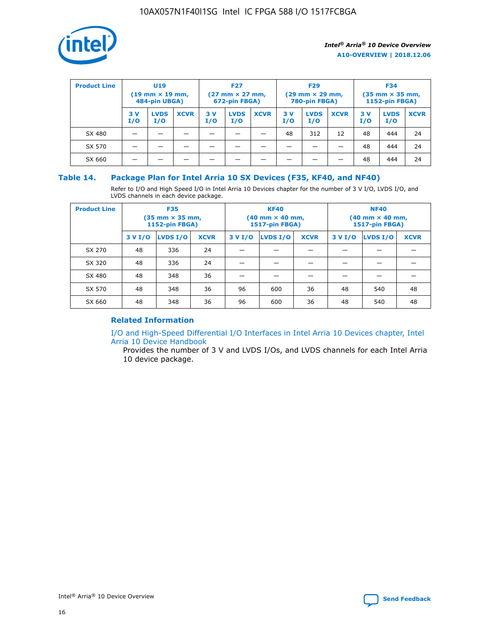

| <b>Product Line</b> | U <sub>19</sub><br>$(19 \text{ mm} \times 19 \text{ mm})$<br>484-pin UBGA) |                    | <b>F27</b><br>$(27 \text{ mm} \times 27 \text{ mm})$<br>672-pin FBGA) |            | <b>F29</b><br>$(29 \text{ mm} \times 29 \text{ mm})$<br>780-pin FBGA) |             |           | <b>F34</b><br>$(35$ mm $\times$ 35 mm,<br><b>1152-pin FBGA)</b> |             |           |                    |             |
|---------------------|----------------------------------------------------------------------------|--------------------|-----------------------------------------------------------------------|------------|-----------------------------------------------------------------------|-------------|-----------|-----------------------------------------------------------------|-------------|-----------|--------------------|-------------|
|                     | 3V<br>I/O                                                                  | <b>LVDS</b><br>I/O | <b>XCVR</b>                                                           | 3 V<br>I/O | <b>LVDS</b><br>I/O                                                    | <b>XCVR</b> | 3V<br>I/O | <b>LVDS</b><br>I/O                                              | <b>XCVR</b> | 3V<br>I/O | <b>LVDS</b><br>I/O | <b>XCVR</b> |
| SX 480              |                                                                            |                    |                                                                       |            |                                                                       |             | 48        | 312                                                             | 12          | 48        | 444                | 24          |
| SX 570              |                                                                            |                    |                                                                       |            |                                                                       |             |           |                                                                 |             | 48        | 444                | 24          |
| SX 660              |                                                                            |                    |                                                                       |            |                                                                       |             |           |                                                                 |             | 48        | 444                | 24          |

## **Table 14. Package Plan for Intel Arria 10 SX Devices (F35, KF40, and NF40)**

Refer to I/O and High Speed I/O in Intel Arria 10 Devices chapter for the number of 3 V I/O, LVDS I/O, and LVDS channels in each device package.

| <b>Product Line</b> | <b>F35</b><br>(35 mm × 35 mm,<br><b>1152-pin FBGA)</b> |          |             |                                           | <b>KF40</b><br>(40 mm × 40 mm,<br>1517-pin FBGA) |    | <b>NF40</b><br>$(40 \text{ mm} \times 40 \text{ mm})$<br><b>1517-pin FBGA)</b> |          |             |  |
|---------------------|--------------------------------------------------------|----------|-------------|-------------------------------------------|--------------------------------------------------|----|--------------------------------------------------------------------------------|----------|-------------|--|
|                     | 3 V I/O                                                | LVDS I/O | <b>XCVR</b> | <b>LVDS I/O</b><br><b>XCVR</b><br>3 V I/O |                                                  |    | 3 V I/O                                                                        | LVDS I/O | <b>XCVR</b> |  |
| SX 270              | 48                                                     | 336      | 24          |                                           |                                                  |    |                                                                                |          |             |  |
| SX 320              | 48                                                     | 336      | 24          |                                           |                                                  |    |                                                                                |          |             |  |
| SX 480              | 48                                                     | 348      | 36          |                                           |                                                  |    |                                                                                |          |             |  |
| SX 570              | 48                                                     | 348      | 36          | 96<br>36<br>600                           |                                                  | 48 | 540                                                                            | 48       |             |  |
| SX 660              | 48                                                     | 348      | 36          | 96                                        | 600                                              | 36 | 48                                                                             | 540      | 48          |  |

## **Related Information**

[I/O and High-Speed Differential I/O Interfaces in Intel Arria 10 Devices chapter, Intel](https://www.intel.com/content/www/us/en/programmable/documentation/sam1403482614086.html#sam1403482030321) [Arria 10 Device Handbook](https://www.intel.com/content/www/us/en/programmable/documentation/sam1403482614086.html#sam1403482030321)

Provides the number of 3 V and LVDS I/Os, and LVDS channels for each Intel Arria 10 device package.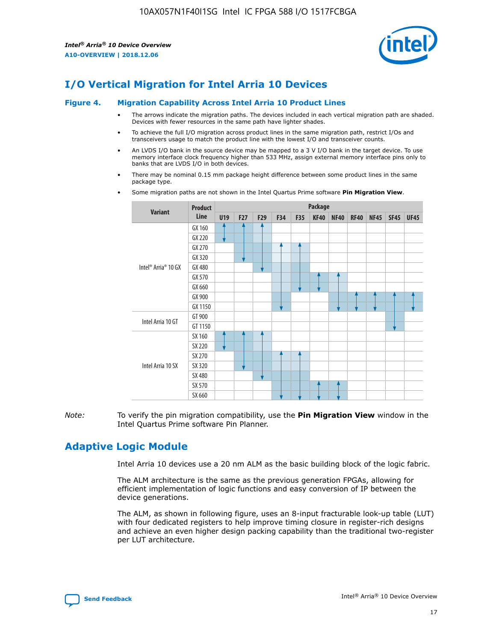

## **I/O Vertical Migration for Intel Arria 10 Devices**

#### **Figure 4. Migration Capability Across Intel Arria 10 Product Lines**

- The arrows indicate the migration paths. The devices included in each vertical migration path are shaded. Devices with fewer resources in the same path have lighter shades.
- To achieve the full I/O migration across product lines in the same migration path, restrict I/Os and transceivers usage to match the product line with the lowest I/O and transceiver counts.
- An LVDS I/O bank in the source device may be mapped to a 3 V I/O bank in the target device. To use memory interface clock frequency higher than 533 MHz, assign external memory interface pins only to banks that are LVDS I/O in both devices.
- There may be nominal 0.15 mm package height difference between some product lines in the same package type.
	- **Variant Product Line Package U19 F27 F29 F34 F35 KF40 NF40 RF40 NF45 SF45 UF45** Intel® Arria® 10 GX GX 160 GX 220 GX 270 GX 320 GX 480 GX 570 GX 660 GX 900 GX 1150 Intel Arria 10 GT GT 900 GT 1150 Intel Arria 10 SX SX 160 SX 220 SX 270 SX 320 SX 480 SX 570 SX 660
- Some migration paths are not shown in the Intel Quartus Prime software **Pin Migration View**.

*Note:* To verify the pin migration compatibility, use the **Pin Migration View** window in the Intel Quartus Prime software Pin Planner.

## **Adaptive Logic Module**

Intel Arria 10 devices use a 20 nm ALM as the basic building block of the logic fabric.

The ALM architecture is the same as the previous generation FPGAs, allowing for efficient implementation of logic functions and easy conversion of IP between the device generations.

The ALM, as shown in following figure, uses an 8-input fracturable look-up table (LUT) with four dedicated registers to help improve timing closure in register-rich designs and achieve an even higher design packing capability than the traditional two-register per LUT architecture.

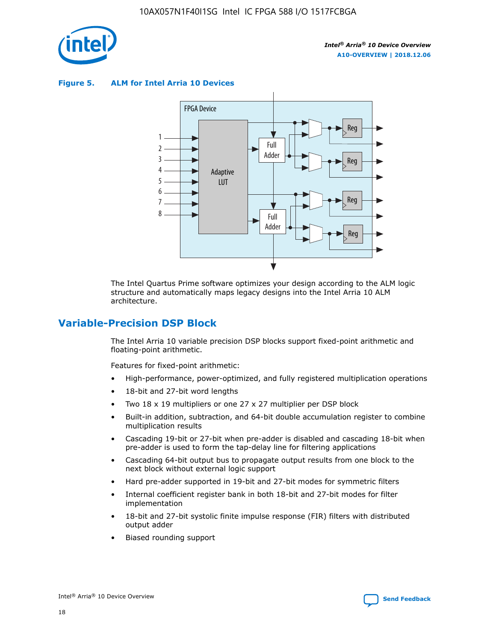

**Figure 5. ALM for Intel Arria 10 Devices**



The Intel Quartus Prime software optimizes your design according to the ALM logic structure and automatically maps legacy designs into the Intel Arria 10 ALM architecture.

## **Variable-Precision DSP Block**

The Intel Arria 10 variable precision DSP blocks support fixed-point arithmetic and floating-point arithmetic.

Features for fixed-point arithmetic:

- High-performance, power-optimized, and fully registered multiplication operations
- 18-bit and 27-bit word lengths
- Two 18 x 19 multipliers or one 27 x 27 multiplier per DSP block
- Built-in addition, subtraction, and 64-bit double accumulation register to combine multiplication results
- Cascading 19-bit or 27-bit when pre-adder is disabled and cascading 18-bit when pre-adder is used to form the tap-delay line for filtering applications
- Cascading 64-bit output bus to propagate output results from one block to the next block without external logic support
- Hard pre-adder supported in 19-bit and 27-bit modes for symmetric filters
- Internal coefficient register bank in both 18-bit and 27-bit modes for filter implementation
- 18-bit and 27-bit systolic finite impulse response (FIR) filters with distributed output adder
- Biased rounding support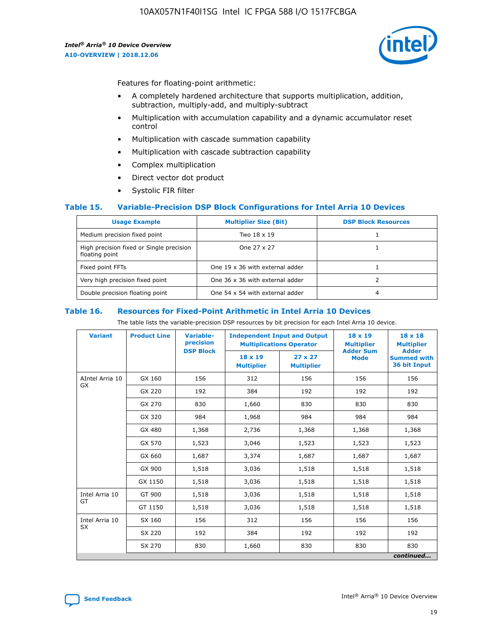

Features for floating-point arithmetic:

- A completely hardened architecture that supports multiplication, addition, subtraction, multiply-add, and multiply-subtract
- Multiplication with accumulation capability and a dynamic accumulator reset control
- Multiplication with cascade summation capability
- Multiplication with cascade subtraction capability
- Complex multiplication
- Direct vector dot product
- Systolic FIR filter

## **Table 15. Variable-Precision DSP Block Configurations for Intel Arria 10 Devices**

| <b>Usage Example</b>                                       | <b>Multiplier Size (Bit)</b>    | <b>DSP Block Resources</b> |
|------------------------------------------------------------|---------------------------------|----------------------------|
| Medium precision fixed point                               | Two 18 x 19                     |                            |
| High precision fixed or Single precision<br>floating point | One 27 x 27                     |                            |
| Fixed point FFTs                                           | One 19 x 36 with external adder |                            |
| Very high precision fixed point                            | One 36 x 36 with external adder |                            |
| Double precision floating point                            | One 54 x 54 with external adder | 4                          |

#### **Table 16. Resources for Fixed-Point Arithmetic in Intel Arria 10 Devices**

The table lists the variable-precision DSP resources by bit precision for each Intel Arria 10 device.

| <b>Variant</b>        | <b>Product Line</b> | <b>Variable-</b><br>precision<br><b>DSP Block</b> | <b>Independent Input and Output</b><br><b>Multiplications Operator</b> |                                     | 18 x 19<br><b>Multiplier</b><br><b>Adder Sum</b> | $18 \times 18$<br><b>Multiplier</b><br><b>Adder</b> |
|-----------------------|---------------------|---------------------------------------------------|------------------------------------------------------------------------|-------------------------------------|--------------------------------------------------|-----------------------------------------------------|
|                       |                     |                                                   | 18 x 19<br><b>Multiplier</b>                                           | $27 \times 27$<br><b>Multiplier</b> | <b>Mode</b>                                      | <b>Summed with</b><br>36 bit Input                  |
| AIntel Arria 10<br>GX | GX 160              | 156                                               | 312                                                                    | 156                                 | 156                                              | 156                                                 |
|                       | GX 220              | 192                                               | 384                                                                    | 192                                 | 192                                              | 192                                                 |
|                       | GX 270              | 830                                               | 1,660                                                                  | 830                                 | 830                                              | 830                                                 |
|                       | GX 320              | 984                                               | 1,968                                                                  | 984                                 | 984                                              | 984                                                 |
|                       | GX 480              | 1,368                                             | 2,736                                                                  | 1,368                               | 1,368                                            | 1,368                                               |
|                       | GX 570              | 1,523                                             | 3,046                                                                  | 1,523                               | 1,523                                            | 1,523                                               |
|                       | GX 660              | 1,687                                             | 3,374                                                                  | 1,687                               | 1,687                                            | 1,687                                               |
|                       | GX 900              | 1,518                                             | 3,036                                                                  | 1,518                               | 1,518                                            | 1,518                                               |
|                       | GX 1150             | 1,518                                             | 3,036                                                                  | 1,518                               | 1,518                                            | 1,518                                               |
| Intel Arria 10        | GT 900              | 1,518                                             | 3,036                                                                  | 1,518                               | 1,518                                            | 1,518                                               |
| GT                    | GT 1150             | 1,518                                             | 3,036                                                                  | 1,518                               | 1,518                                            | 1,518                                               |
| Intel Arria 10        | SX 160              | 156                                               | 312                                                                    | 156                                 | 156                                              | 156                                                 |
| <b>SX</b>             | SX 220              | 192                                               | 384                                                                    | 192                                 | 192                                              | 192                                                 |
|                       | SX 270              | 830                                               | 1,660                                                                  | 830                                 | 830                                              | 830                                                 |
|                       |                     |                                                   |                                                                        |                                     |                                                  | continued                                           |

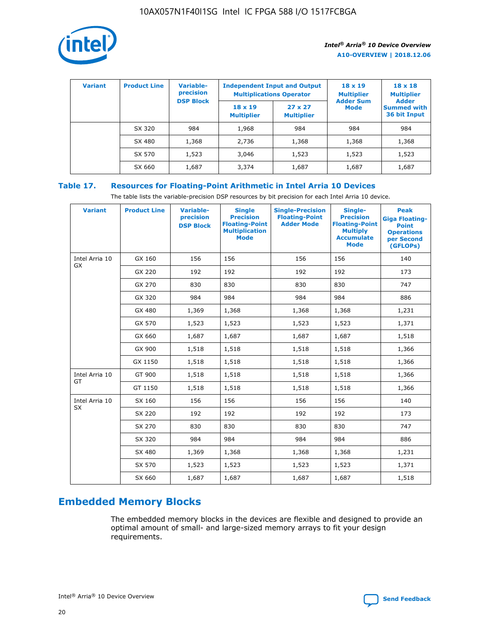

| <b>Variant</b> | <b>Product Line</b> | <b>Variable-</b><br>precision<br><b>DSP Block</b> | <b>Independent Input and Output</b><br><b>Multiplications Operator</b> |                                     | $18 \times 19$<br><b>Multiplier</b><br><b>Adder Sum</b> | $18 \times 18$<br><b>Multiplier</b><br><b>Adder</b> |  |
|----------------|---------------------|---------------------------------------------------|------------------------------------------------------------------------|-------------------------------------|---------------------------------------------------------|-----------------------------------------------------|--|
|                |                     |                                                   | $18 \times 19$<br><b>Multiplier</b>                                    | $27 \times 27$<br><b>Multiplier</b> | <b>Mode</b>                                             | <b>Summed with</b><br>36 bit Input                  |  |
|                | SX 320              | 984                                               | 1,968                                                                  | 984                                 | 984                                                     | 984                                                 |  |
|                | SX 480              | 1,368                                             | 2,736                                                                  | 1,368                               | 1,368                                                   | 1,368                                               |  |
|                | SX 570              | 1,523                                             | 3,046                                                                  | 1,523                               | 1,523                                                   | 1,523                                               |  |
|                | SX 660              | 1,687                                             | 3,374                                                                  | 1,687                               | 1,687                                                   | 1,687                                               |  |

## **Table 17. Resources for Floating-Point Arithmetic in Intel Arria 10 Devices**

The table lists the variable-precision DSP resources by bit precision for each Intel Arria 10 device.

| <b>Variant</b> | <b>Product Line</b> | <b>Variable-</b><br>precision<br><b>DSP Block</b> | <b>Single</b><br><b>Precision</b><br><b>Floating-Point</b><br><b>Multiplication</b><br><b>Mode</b> | <b>Single-Precision</b><br><b>Floating-Point</b><br><b>Adder Mode</b> | Single-<br><b>Precision</b><br><b>Floating-Point</b><br><b>Multiply</b><br><b>Accumulate</b><br><b>Mode</b> | <b>Peak</b><br><b>Giga Floating-</b><br><b>Point</b><br><b>Operations</b><br>per Second<br>(GFLOPs) |
|----------------|---------------------|---------------------------------------------------|----------------------------------------------------------------------------------------------------|-----------------------------------------------------------------------|-------------------------------------------------------------------------------------------------------------|-----------------------------------------------------------------------------------------------------|
| Intel Arria 10 | GX 160              | 156                                               | 156                                                                                                | 156                                                                   | 156                                                                                                         | 140                                                                                                 |
| GX             | GX 220              | 192                                               | 192                                                                                                | 192                                                                   | 192                                                                                                         | 173                                                                                                 |
|                | GX 270              | 830                                               | 830                                                                                                | 830                                                                   | 830                                                                                                         | 747                                                                                                 |
|                | GX 320              | 984                                               | 984                                                                                                | 984                                                                   | 984                                                                                                         | 886                                                                                                 |
|                | GX 480              | 1,369                                             | 1,368                                                                                              | 1,368                                                                 | 1,368                                                                                                       | 1,231                                                                                               |
|                | GX 570              | 1,523                                             | 1,523                                                                                              | 1,523                                                                 | 1,523                                                                                                       | 1,371                                                                                               |
|                | GX 660              | 1,687                                             | 1,687                                                                                              | 1,687                                                                 | 1,687                                                                                                       | 1,518                                                                                               |
|                | GX 900              | 1,518                                             | 1,518                                                                                              | 1,518                                                                 | 1,518                                                                                                       | 1,366                                                                                               |
|                | GX 1150             | 1,518                                             | 1,518                                                                                              | 1,518                                                                 | 1,518                                                                                                       | 1,366                                                                                               |
| Intel Arria 10 | GT 900              | 1,518                                             | 1,518                                                                                              | 1,518                                                                 | 1,518                                                                                                       | 1,366                                                                                               |
| GT             | GT 1150             | 1,518                                             | 1,518                                                                                              | 1,518                                                                 | 1,518                                                                                                       | 1,366                                                                                               |
| Intel Arria 10 | SX 160              | 156                                               | 156                                                                                                | 156                                                                   | 156                                                                                                         | 140                                                                                                 |
| SX             | SX 220              | 192                                               | 192                                                                                                | 192                                                                   | 192                                                                                                         | 173                                                                                                 |
|                | SX 270              | 830                                               | 830                                                                                                | 830                                                                   | 830                                                                                                         | 747                                                                                                 |
|                | SX 320              | 984                                               | 984                                                                                                | 984                                                                   | 984                                                                                                         | 886                                                                                                 |
|                | SX 480              | 1,369                                             | 1,368                                                                                              | 1,368                                                                 | 1,368                                                                                                       | 1,231                                                                                               |
|                | SX 570              | 1,523                                             | 1,523                                                                                              | 1,523                                                                 | 1,523                                                                                                       | 1,371                                                                                               |
|                | SX 660              | 1,687                                             | 1,687                                                                                              | 1,687                                                                 | 1,687                                                                                                       | 1,518                                                                                               |

## **Embedded Memory Blocks**

The embedded memory blocks in the devices are flexible and designed to provide an optimal amount of small- and large-sized memory arrays to fit your design requirements.

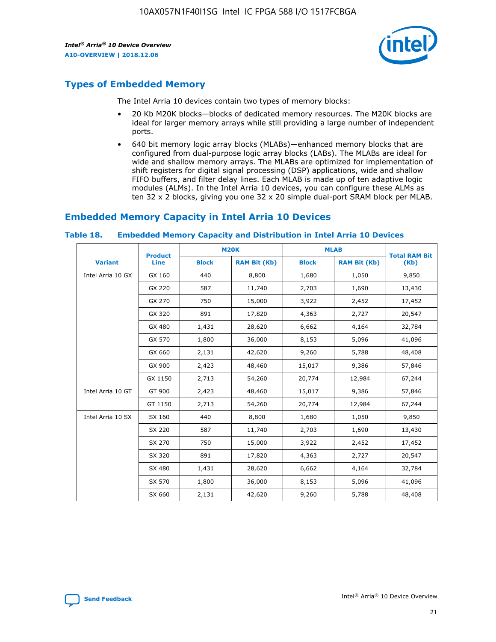

## **Types of Embedded Memory**

The Intel Arria 10 devices contain two types of memory blocks:

- 20 Kb M20K blocks—blocks of dedicated memory resources. The M20K blocks are ideal for larger memory arrays while still providing a large number of independent ports.
- 640 bit memory logic array blocks (MLABs)—enhanced memory blocks that are configured from dual-purpose logic array blocks (LABs). The MLABs are ideal for wide and shallow memory arrays. The MLABs are optimized for implementation of shift registers for digital signal processing (DSP) applications, wide and shallow FIFO buffers, and filter delay lines. Each MLAB is made up of ten adaptive logic modules (ALMs). In the Intel Arria 10 devices, you can configure these ALMs as ten 32 x 2 blocks, giving you one 32 x 20 simple dual-port SRAM block per MLAB.

## **Embedded Memory Capacity in Intel Arria 10 Devices**

|                   | <b>Product</b> |              | <b>M20K</b>         | <b>MLAB</b>  |                     | <b>Total RAM Bit</b> |
|-------------------|----------------|--------------|---------------------|--------------|---------------------|----------------------|
| <b>Variant</b>    | Line           | <b>Block</b> | <b>RAM Bit (Kb)</b> | <b>Block</b> | <b>RAM Bit (Kb)</b> | (Kb)                 |
| Intel Arria 10 GX | GX 160         | 440          | 8,800               | 1,680        | 1,050               | 9,850                |
|                   | GX 220         | 587          | 11,740              | 2,703        | 1,690               | 13,430               |
|                   | GX 270         | 750          | 15,000              | 3,922        | 2,452               | 17,452               |
|                   | GX 320         | 891          | 17,820              | 4,363        | 2,727               | 20,547               |
|                   | GX 480         | 1,431        | 28,620              | 6,662        | 4,164               | 32,784               |
|                   | GX 570         | 1,800        | 36,000              | 8,153        | 5,096               | 41,096               |
|                   | GX 660         | 2,131        | 42,620              | 9,260        | 5,788               | 48,408               |
|                   | GX 900         | 2,423        | 48,460              | 15,017       | 9,386               | 57,846               |
|                   | GX 1150        | 2,713        | 54,260              | 20,774       | 12,984              | 67,244               |
| Intel Arria 10 GT | GT 900         | 2,423        | 48,460              | 15,017       | 9,386               | 57,846               |
|                   | GT 1150        | 2,713        | 54,260              | 20,774       | 12,984              | 67,244               |
| Intel Arria 10 SX | SX 160         | 440          | 8,800               | 1,680        | 1,050               | 9,850                |
|                   | SX 220         | 587          | 11,740              | 2,703        | 1,690               | 13,430               |
|                   | SX 270         | 750          | 15,000              | 3,922        | 2,452               | 17,452               |
|                   | SX 320         | 891          | 17,820              | 4,363        | 2,727               | 20,547               |
|                   | SX 480         | 1,431        | 28,620              | 6,662        | 4,164               | 32,784               |
|                   | SX 570         | 1,800        | 36,000              | 8,153        | 5,096               | 41,096               |
|                   | SX 660         | 2,131        | 42,620              | 9,260        | 5,788               | 48,408               |

#### **Table 18. Embedded Memory Capacity and Distribution in Intel Arria 10 Devices**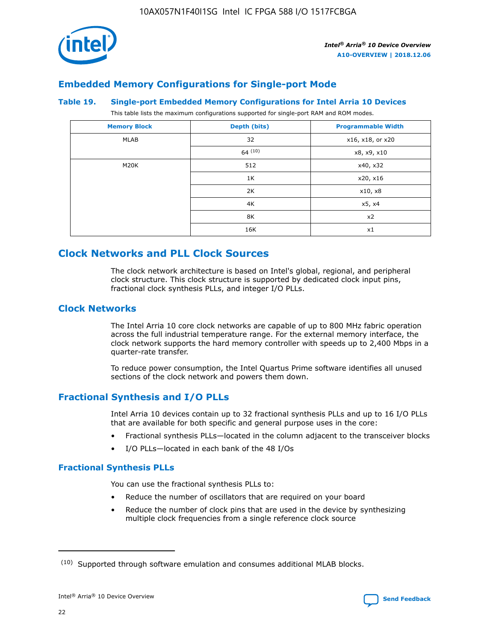

## **Embedded Memory Configurations for Single-port Mode**

### **Table 19. Single-port Embedded Memory Configurations for Intel Arria 10 Devices**

This table lists the maximum configurations supported for single-port RAM and ROM modes.

| <b>Memory Block</b> | Depth (bits) | <b>Programmable Width</b> |
|---------------------|--------------|---------------------------|
| MLAB                | 32           | x16, x18, or x20          |
|                     | 64(10)       | x8, x9, x10               |
| M20K                | 512          | x40, x32                  |
|                     | 1K           | x20, x16                  |
|                     | 2K           | x10, x8                   |
|                     | 4K           | x5, x4                    |
|                     | 8K           | x2                        |
|                     | 16K          | x1                        |

## **Clock Networks and PLL Clock Sources**

The clock network architecture is based on Intel's global, regional, and peripheral clock structure. This clock structure is supported by dedicated clock input pins, fractional clock synthesis PLLs, and integer I/O PLLs.

## **Clock Networks**

The Intel Arria 10 core clock networks are capable of up to 800 MHz fabric operation across the full industrial temperature range. For the external memory interface, the clock network supports the hard memory controller with speeds up to 2,400 Mbps in a quarter-rate transfer.

To reduce power consumption, the Intel Quartus Prime software identifies all unused sections of the clock network and powers them down.

## **Fractional Synthesis and I/O PLLs**

Intel Arria 10 devices contain up to 32 fractional synthesis PLLs and up to 16 I/O PLLs that are available for both specific and general purpose uses in the core:

- Fractional synthesis PLLs—located in the column adjacent to the transceiver blocks
- I/O PLLs—located in each bank of the 48 I/Os

## **Fractional Synthesis PLLs**

You can use the fractional synthesis PLLs to:

- Reduce the number of oscillators that are required on your board
- Reduce the number of clock pins that are used in the device by synthesizing multiple clock frequencies from a single reference clock source

<sup>(10)</sup> Supported through software emulation and consumes additional MLAB blocks.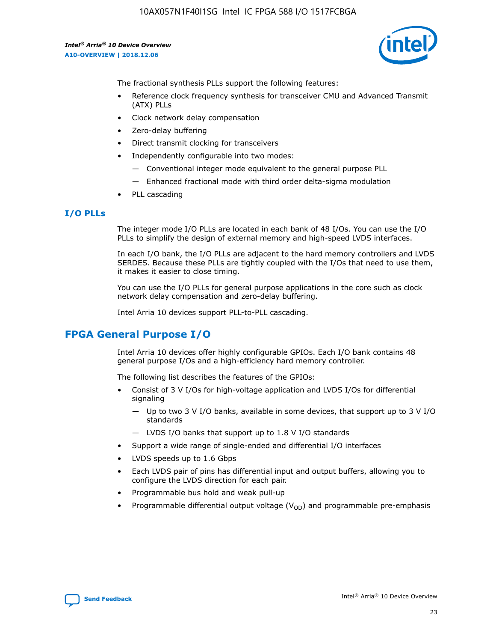10AX057N1F40I1SG Intel IC FPGA 588 I/O 1517FCBGA

*Intel® Arria® 10 Device Overview* **A10-OVERVIEW | 2018.12.06**



The fractional synthesis PLLs support the following features:

- Reference clock frequency synthesis for transceiver CMU and Advanced Transmit (ATX) PLLs
- Clock network delay compensation
- Zero-delay buffering
- Direct transmit clocking for transceivers
- Independently configurable into two modes:
	- Conventional integer mode equivalent to the general purpose PLL
	- Enhanced fractional mode with third order delta-sigma modulation
- PLL cascading

## **I/O PLLs**

The integer mode I/O PLLs are located in each bank of 48 I/Os. You can use the I/O PLLs to simplify the design of external memory and high-speed LVDS interfaces.

In each I/O bank, the I/O PLLs are adjacent to the hard memory controllers and LVDS SERDES. Because these PLLs are tightly coupled with the I/Os that need to use them, it makes it easier to close timing.

You can use the I/O PLLs for general purpose applications in the core such as clock network delay compensation and zero-delay buffering.

Intel Arria 10 devices support PLL-to-PLL cascading.

## **FPGA General Purpose I/O**

Intel Arria 10 devices offer highly configurable GPIOs. Each I/O bank contains 48 general purpose I/Os and a high-efficiency hard memory controller.

The following list describes the features of the GPIOs:

- Consist of 3 V I/Os for high-voltage application and LVDS I/Os for differential signaling
	- Up to two 3 V I/O banks, available in some devices, that support up to 3 V I/O standards
	- LVDS I/O banks that support up to 1.8 V I/O standards
- Support a wide range of single-ended and differential I/O interfaces
- LVDS speeds up to 1.6 Gbps
- Each LVDS pair of pins has differential input and output buffers, allowing you to configure the LVDS direction for each pair.
- Programmable bus hold and weak pull-up
- Programmable differential output voltage  $(V_{OD})$  and programmable pre-emphasis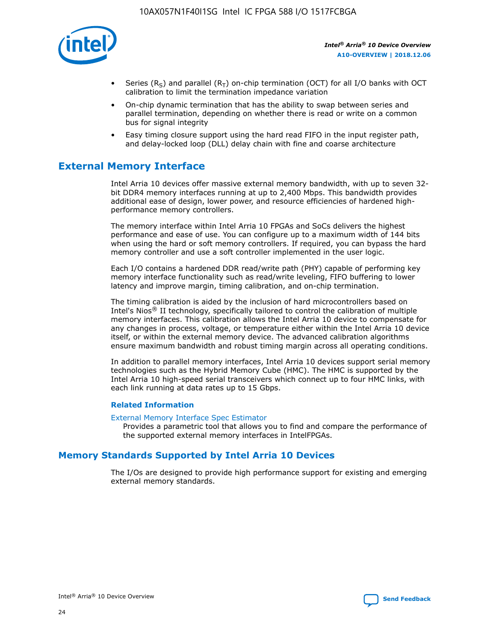

- Series (R<sub>S</sub>) and parallel (R<sub>T</sub>) on-chip termination (OCT) for all I/O banks with OCT calibration to limit the termination impedance variation
- On-chip dynamic termination that has the ability to swap between series and parallel termination, depending on whether there is read or write on a common bus for signal integrity
- Easy timing closure support using the hard read FIFO in the input register path, and delay-locked loop (DLL) delay chain with fine and coarse architecture

## **External Memory Interface**

Intel Arria 10 devices offer massive external memory bandwidth, with up to seven 32 bit DDR4 memory interfaces running at up to 2,400 Mbps. This bandwidth provides additional ease of design, lower power, and resource efficiencies of hardened highperformance memory controllers.

The memory interface within Intel Arria 10 FPGAs and SoCs delivers the highest performance and ease of use. You can configure up to a maximum width of 144 bits when using the hard or soft memory controllers. If required, you can bypass the hard memory controller and use a soft controller implemented in the user logic.

Each I/O contains a hardened DDR read/write path (PHY) capable of performing key memory interface functionality such as read/write leveling, FIFO buffering to lower latency and improve margin, timing calibration, and on-chip termination.

The timing calibration is aided by the inclusion of hard microcontrollers based on Intel's Nios® II technology, specifically tailored to control the calibration of multiple memory interfaces. This calibration allows the Intel Arria 10 device to compensate for any changes in process, voltage, or temperature either within the Intel Arria 10 device itself, or within the external memory device. The advanced calibration algorithms ensure maximum bandwidth and robust timing margin across all operating conditions.

In addition to parallel memory interfaces, Intel Arria 10 devices support serial memory technologies such as the Hybrid Memory Cube (HMC). The HMC is supported by the Intel Arria 10 high-speed serial transceivers which connect up to four HMC links, with each link running at data rates up to 15 Gbps.

## **Related Information**

#### [External Memory Interface Spec Estimator](http://www.altera.com/technology/memory/estimator/mem-emif-index.html)

Provides a parametric tool that allows you to find and compare the performance of the supported external memory interfaces in IntelFPGAs.

## **Memory Standards Supported by Intel Arria 10 Devices**

The I/Os are designed to provide high performance support for existing and emerging external memory standards.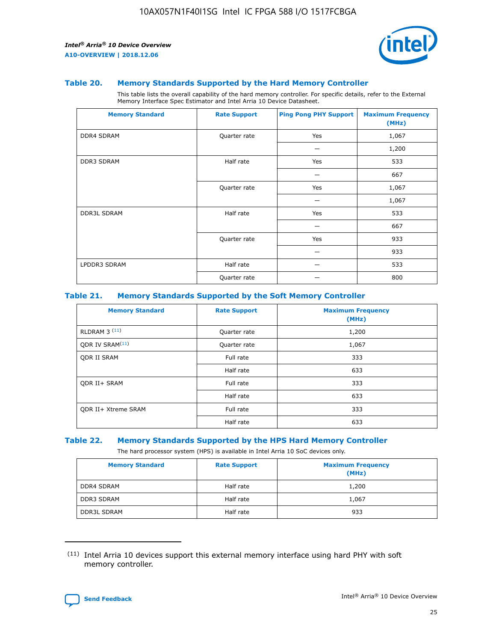

### **Table 20. Memory Standards Supported by the Hard Memory Controller**

This table lists the overall capability of the hard memory controller. For specific details, refer to the External Memory Interface Spec Estimator and Intel Arria 10 Device Datasheet.

| <b>Memory Standard</b> | <b>Rate Support</b> | <b>Ping Pong PHY Support</b> | <b>Maximum Frequency</b><br>(MHz) |
|------------------------|---------------------|------------------------------|-----------------------------------|
| <b>DDR4 SDRAM</b>      | Quarter rate        | Yes                          | 1,067                             |
|                        |                     |                              | 1,200                             |
| DDR3 SDRAM             | Half rate           | Yes                          | 533                               |
|                        |                     |                              | 667                               |
|                        | Quarter rate        | Yes                          | 1,067                             |
|                        |                     |                              | 1,067                             |
| <b>DDR3L SDRAM</b>     | Half rate           | Yes                          | 533                               |
|                        |                     |                              | 667                               |
|                        | Quarter rate        | Yes                          | 933                               |
|                        |                     |                              | 933                               |
| LPDDR3 SDRAM           | Half rate           |                              | 533                               |
|                        | Quarter rate        |                              | 800                               |

## **Table 21. Memory Standards Supported by the Soft Memory Controller**

| <b>Memory Standard</b>      | <b>Rate Support</b> | <b>Maximum Frequency</b><br>(MHz) |
|-----------------------------|---------------------|-----------------------------------|
| <b>RLDRAM 3 (11)</b>        | Quarter rate        | 1,200                             |
| ODR IV SRAM <sup>(11)</sup> | Quarter rate        | 1,067                             |
| <b>ODR II SRAM</b>          | Full rate           | 333                               |
|                             | Half rate           | 633                               |
| <b>ODR II+ SRAM</b>         | Full rate           | 333                               |
|                             | Half rate           | 633                               |
| <b>ODR II+ Xtreme SRAM</b>  | Full rate           | 333                               |
|                             | Half rate           | 633                               |

#### **Table 22. Memory Standards Supported by the HPS Hard Memory Controller**

The hard processor system (HPS) is available in Intel Arria 10 SoC devices only.

| <b>Memory Standard</b> | <b>Rate Support</b> | <b>Maximum Frequency</b><br>(MHz) |
|------------------------|---------------------|-----------------------------------|
| <b>DDR4 SDRAM</b>      | Half rate           | 1,200                             |
| <b>DDR3 SDRAM</b>      | Half rate           | 1,067                             |
| <b>DDR3L SDRAM</b>     | Half rate           | 933                               |

<sup>(11)</sup> Intel Arria 10 devices support this external memory interface using hard PHY with soft memory controller.

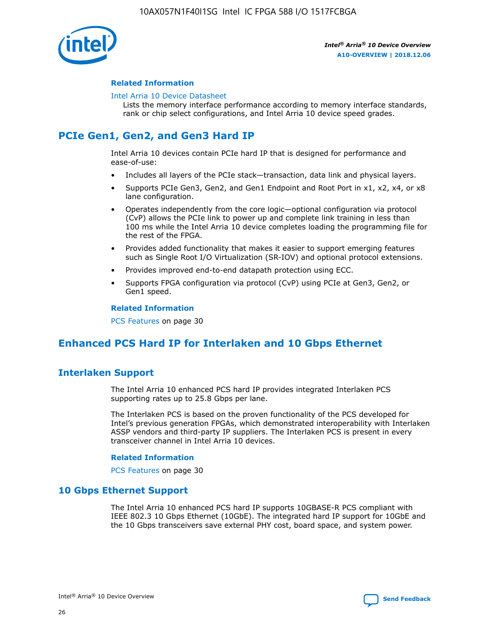

## **Related Information**

#### [Intel Arria 10 Device Datasheet](https://www.intel.com/content/www/us/en/programmable/documentation/mcn1413182292568.html#mcn1413182153340)

Lists the memory interface performance according to memory interface standards, rank or chip select configurations, and Intel Arria 10 device speed grades.

## **PCIe Gen1, Gen2, and Gen3 Hard IP**

Intel Arria 10 devices contain PCIe hard IP that is designed for performance and ease-of-use:

- Includes all layers of the PCIe stack—transaction, data link and physical layers.
- Supports PCIe Gen3, Gen2, and Gen1 Endpoint and Root Port in x1, x2, x4, or x8 lane configuration.
- Operates independently from the core logic—optional configuration via protocol (CvP) allows the PCIe link to power up and complete link training in less than 100 ms while the Intel Arria 10 device completes loading the programming file for the rest of the FPGA.
- Provides added functionality that makes it easier to support emerging features such as Single Root I/O Virtualization (SR-IOV) and optional protocol extensions.
- Provides improved end-to-end datapath protection using ECC.
- Supports FPGA configuration via protocol (CvP) using PCIe at Gen3, Gen2, or Gen1 speed.

#### **Related Information**

PCS Features on page 30

## **Enhanced PCS Hard IP for Interlaken and 10 Gbps Ethernet**

## **Interlaken Support**

The Intel Arria 10 enhanced PCS hard IP provides integrated Interlaken PCS supporting rates up to 25.8 Gbps per lane.

The Interlaken PCS is based on the proven functionality of the PCS developed for Intel's previous generation FPGAs, which demonstrated interoperability with Interlaken ASSP vendors and third-party IP suppliers. The Interlaken PCS is present in every transceiver channel in Intel Arria 10 devices.

## **Related Information**

PCS Features on page 30

## **10 Gbps Ethernet Support**

The Intel Arria 10 enhanced PCS hard IP supports 10GBASE-R PCS compliant with IEEE 802.3 10 Gbps Ethernet (10GbE). The integrated hard IP support for 10GbE and the 10 Gbps transceivers save external PHY cost, board space, and system power.

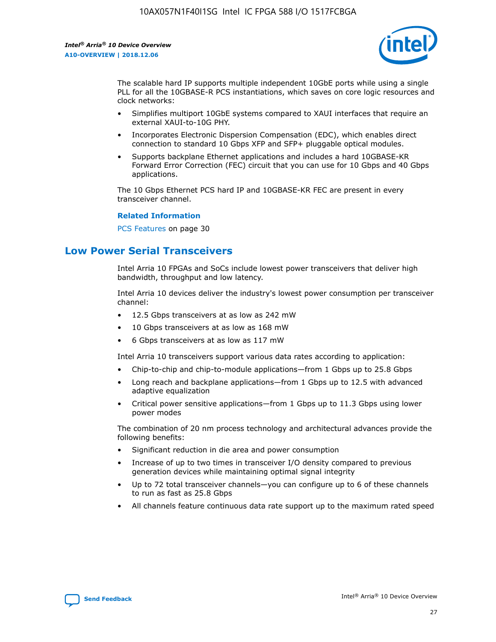

The scalable hard IP supports multiple independent 10GbE ports while using a single PLL for all the 10GBASE-R PCS instantiations, which saves on core logic resources and clock networks:

- Simplifies multiport 10GbE systems compared to XAUI interfaces that require an external XAUI-to-10G PHY.
- Incorporates Electronic Dispersion Compensation (EDC), which enables direct connection to standard 10 Gbps XFP and SFP+ pluggable optical modules.
- Supports backplane Ethernet applications and includes a hard 10GBASE-KR Forward Error Correction (FEC) circuit that you can use for 10 Gbps and 40 Gbps applications.

The 10 Gbps Ethernet PCS hard IP and 10GBASE-KR FEC are present in every transceiver channel.

### **Related Information**

PCS Features on page 30

## **Low Power Serial Transceivers**

Intel Arria 10 FPGAs and SoCs include lowest power transceivers that deliver high bandwidth, throughput and low latency.

Intel Arria 10 devices deliver the industry's lowest power consumption per transceiver channel:

- 12.5 Gbps transceivers at as low as 242 mW
- 10 Gbps transceivers at as low as 168 mW
- 6 Gbps transceivers at as low as 117 mW

Intel Arria 10 transceivers support various data rates according to application:

- Chip-to-chip and chip-to-module applications—from 1 Gbps up to 25.8 Gbps
- Long reach and backplane applications—from 1 Gbps up to 12.5 with advanced adaptive equalization
- Critical power sensitive applications—from 1 Gbps up to 11.3 Gbps using lower power modes

The combination of 20 nm process technology and architectural advances provide the following benefits:

- Significant reduction in die area and power consumption
- Increase of up to two times in transceiver I/O density compared to previous generation devices while maintaining optimal signal integrity
- Up to 72 total transceiver channels—you can configure up to 6 of these channels to run as fast as 25.8 Gbps
- All channels feature continuous data rate support up to the maximum rated speed

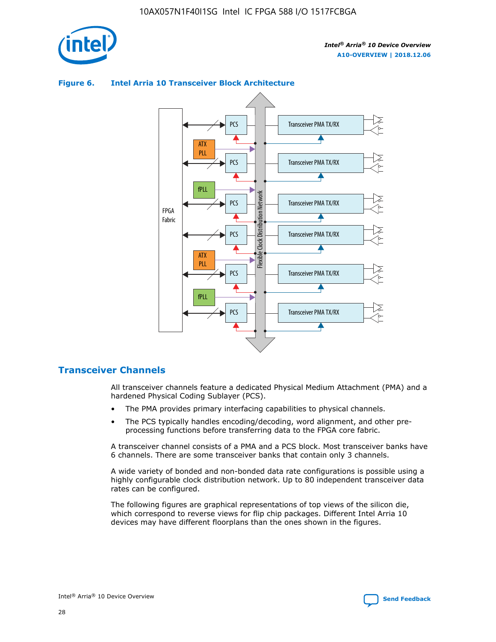



## **Figure 6. Intel Arria 10 Transceiver Block Architecture**

## **Transceiver Channels**

All transceiver channels feature a dedicated Physical Medium Attachment (PMA) and a hardened Physical Coding Sublayer (PCS).

- The PMA provides primary interfacing capabilities to physical channels.
- The PCS typically handles encoding/decoding, word alignment, and other preprocessing functions before transferring data to the FPGA core fabric.

A transceiver channel consists of a PMA and a PCS block. Most transceiver banks have 6 channels. There are some transceiver banks that contain only 3 channels.

A wide variety of bonded and non-bonded data rate configurations is possible using a highly configurable clock distribution network. Up to 80 independent transceiver data rates can be configured.

The following figures are graphical representations of top views of the silicon die, which correspond to reverse views for flip chip packages. Different Intel Arria 10 devices may have different floorplans than the ones shown in the figures.

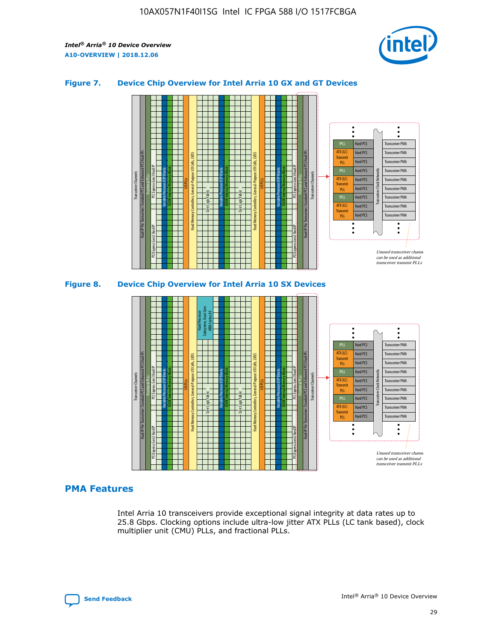

## **Figure 7. Device Chip Overview for Intel Arria 10 GX and GT Devices**





## **PMA Features**

Intel Arria 10 transceivers provide exceptional signal integrity at data rates up to 25.8 Gbps. Clocking options include ultra-low jitter ATX PLLs (LC tank based), clock multiplier unit (CMU) PLLs, and fractional PLLs.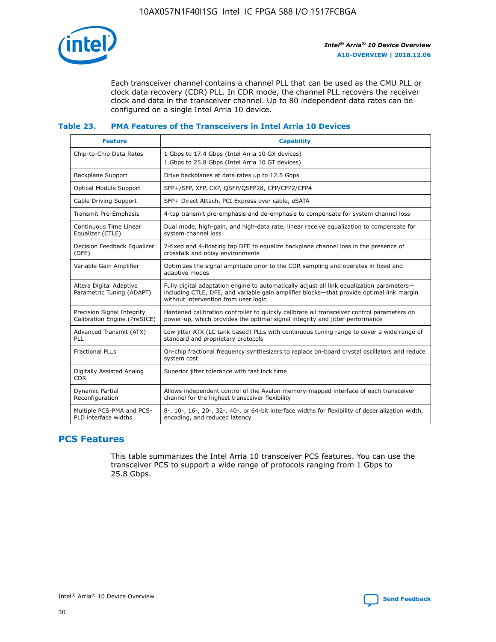

Each transceiver channel contains a channel PLL that can be used as the CMU PLL or clock data recovery (CDR) PLL. In CDR mode, the channel PLL recovers the receiver clock and data in the transceiver channel. Up to 80 independent data rates can be configured on a single Intel Arria 10 device.

## **Table 23. PMA Features of the Transceivers in Intel Arria 10 Devices**

| <b>Feature</b>                                             | <b>Capability</b>                                                                                                                                                                                                             |
|------------------------------------------------------------|-------------------------------------------------------------------------------------------------------------------------------------------------------------------------------------------------------------------------------|
| Chip-to-Chip Data Rates                                    | 1 Gbps to 17.4 Gbps (Intel Arria 10 GX devices)<br>1 Gbps to 25.8 Gbps (Intel Arria 10 GT devices)                                                                                                                            |
| <b>Backplane Support</b>                                   | Drive backplanes at data rates up to 12.5 Gbps                                                                                                                                                                                |
| <b>Optical Module Support</b>                              | SFP+/SFP, XFP, CXP, QSFP/QSFP28, CFP/CFP2/CFP4                                                                                                                                                                                |
| Cable Driving Support                                      | SFP+ Direct Attach, PCI Express over cable, eSATA                                                                                                                                                                             |
| Transmit Pre-Emphasis                                      | 4-tap transmit pre-emphasis and de-emphasis to compensate for system channel loss                                                                                                                                             |
| Continuous Time Linear<br>Equalizer (CTLE)                 | Dual mode, high-gain, and high-data rate, linear receive equalization to compensate for<br>system channel loss                                                                                                                |
| Decision Feedback Equalizer<br>(DFE)                       | 7-fixed and 4-floating tap DFE to equalize backplane channel loss in the presence of<br>crosstalk and noisy environments                                                                                                      |
| Variable Gain Amplifier                                    | Optimizes the signal amplitude prior to the CDR sampling and operates in fixed and<br>adaptive modes                                                                                                                          |
| Altera Digital Adaptive<br>Parametric Tuning (ADAPT)       | Fully digital adaptation engine to automatically adjust all link equalization parameters-<br>including CTLE, DFE, and variable gain amplifier blocks—that provide optimal link margin<br>without intervention from user logic |
| Precision Signal Integrity<br>Calibration Engine (PreSICE) | Hardened calibration controller to quickly calibrate all transceiver control parameters on<br>power-up, which provides the optimal signal integrity and jitter performance                                                    |
| Advanced Transmit (ATX)<br><b>PLL</b>                      | Low jitter ATX (LC tank based) PLLs with continuous tuning range to cover a wide range of<br>standard and proprietary protocols                                                                                               |
| <b>Fractional PLLs</b>                                     | On-chip fractional frequency synthesizers to replace on-board crystal oscillators and reduce<br>system cost                                                                                                                   |
| Digitally Assisted Analog<br><b>CDR</b>                    | Superior jitter tolerance with fast lock time                                                                                                                                                                                 |
| Dynamic Partial<br>Reconfiguration                         | Allows independent control of the Avalon memory-mapped interface of each transceiver<br>channel for the highest transceiver flexibility                                                                                       |
| Multiple PCS-PMA and PCS-<br>PLD interface widths          | 8-, 10-, 16-, 20-, 32-, 40-, or 64-bit interface widths for flexibility of deserialization width,<br>encoding, and reduced latency                                                                                            |

## **PCS Features**

This table summarizes the Intel Arria 10 transceiver PCS features. You can use the transceiver PCS to support a wide range of protocols ranging from 1 Gbps to 25.8 Gbps.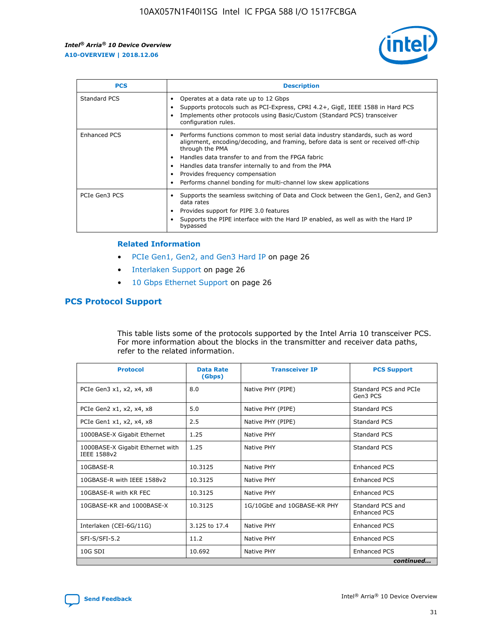

| <b>PCS</b>    | <b>Description</b>                                                                                                                                                                                                                                                                                                                                                                                             |
|---------------|----------------------------------------------------------------------------------------------------------------------------------------------------------------------------------------------------------------------------------------------------------------------------------------------------------------------------------------------------------------------------------------------------------------|
| Standard PCS  | Operates at a data rate up to 12 Gbps<br>Supports protocols such as PCI-Express, CPRI 4.2+, GigE, IEEE 1588 in Hard PCS<br>Implements other protocols using Basic/Custom (Standard PCS) transceiver<br>configuration rules.                                                                                                                                                                                    |
| Enhanced PCS  | Performs functions common to most serial data industry standards, such as word<br>alignment, encoding/decoding, and framing, before data is sent or received off-chip<br>through the PMA<br>• Handles data transfer to and from the FPGA fabric<br>Handles data transfer internally to and from the PMA<br>Provides frequency compensation<br>Performs channel bonding for multi-channel low skew applications |
| PCIe Gen3 PCS | Supports the seamless switching of Data and Clock between the Gen1, Gen2, and Gen3<br>data rates<br>Provides support for PIPE 3.0 features<br>Supports the PIPE interface with the Hard IP enabled, as well as with the Hard IP<br>bypassed                                                                                                                                                                    |

#### **Related Information**

- PCIe Gen1, Gen2, and Gen3 Hard IP on page 26
- Interlaken Support on page 26
- 10 Gbps Ethernet Support on page 26

## **PCS Protocol Support**

This table lists some of the protocols supported by the Intel Arria 10 transceiver PCS. For more information about the blocks in the transmitter and receiver data paths, refer to the related information.

| <b>Protocol</b>                                 | <b>Data Rate</b><br>(Gbps) | <b>Transceiver IP</b>       | <b>PCS Support</b>                      |
|-------------------------------------------------|----------------------------|-----------------------------|-----------------------------------------|
| PCIe Gen3 x1, x2, x4, x8                        | 8.0                        | Native PHY (PIPE)           | Standard PCS and PCIe<br>Gen3 PCS       |
| PCIe Gen2 x1, x2, x4, x8                        | 5.0                        | Native PHY (PIPE)           | <b>Standard PCS</b>                     |
| PCIe Gen1 x1, x2, x4, x8                        | 2.5                        | Native PHY (PIPE)           | Standard PCS                            |
| 1000BASE-X Gigabit Ethernet                     | 1.25                       | Native PHY                  | <b>Standard PCS</b>                     |
| 1000BASE-X Gigabit Ethernet with<br>IEEE 1588v2 | 1.25                       | Native PHY                  | Standard PCS                            |
| 10GBASE-R                                       | 10.3125                    | Native PHY                  | <b>Enhanced PCS</b>                     |
| 10GBASE-R with IEEE 1588v2                      | 10.3125                    | Native PHY                  | <b>Enhanced PCS</b>                     |
| 10GBASE-R with KR FEC                           | 10.3125                    | Native PHY                  | <b>Enhanced PCS</b>                     |
| 10GBASE-KR and 1000BASE-X                       | 10.3125                    | 1G/10GbE and 10GBASE-KR PHY | Standard PCS and<br><b>Enhanced PCS</b> |
| Interlaken (CEI-6G/11G)                         | 3.125 to 17.4              | Native PHY                  | <b>Enhanced PCS</b>                     |
| SFI-S/SFI-5.2                                   | 11.2                       | Native PHY                  | <b>Enhanced PCS</b>                     |
| $10G$ SDI                                       | 10.692                     | Native PHY                  | <b>Enhanced PCS</b>                     |
|                                                 |                            |                             | continued                               |

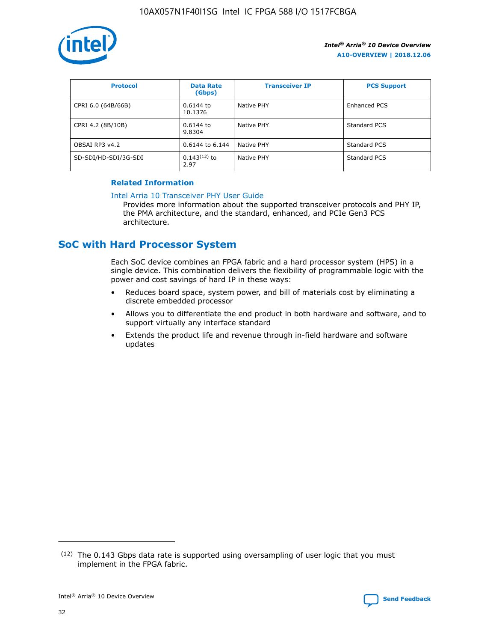

| <b>Protocol</b>      | <b>Data Rate</b><br>(Gbps) | <b>Transceiver IP</b> | <b>PCS Support</b> |
|----------------------|----------------------------|-----------------------|--------------------|
| CPRI 6.0 (64B/66B)   | 0.6144 to<br>10.1376       | Native PHY            | Enhanced PCS       |
| CPRI 4.2 (8B/10B)    | $0.6144$ to<br>9.8304      | Native PHY            | Standard PCS       |
| OBSAI RP3 v4.2       | 0.6144 to 6.144            | Native PHY            | Standard PCS       |
| SD-SDI/HD-SDI/3G-SDI | $0.143(12)$ to<br>2.97     | Native PHY            | Standard PCS       |

## **Related Information**

#### [Intel Arria 10 Transceiver PHY User Guide](https://www.intel.com/content/www/us/en/programmable/documentation/nik1398707230472.html#nik1398707091164)

Provides more information about the supported transceiver protocols and PHY IP, the PMA architecture, and the standard, enhanced, and PCIe Gen3 PCS architecture.

## **SoC with Hard Processor System**

Each SoC device combines an FPGA fabric and a hard processor system (HPS) in a single device. This combination delivers the flexibility of programmable logic with the power and cost savings of hard IP in these ways:

- Reduces board space, system power, and bill of materials cost by eliminating a discrete embedded processor
- Allows you to differentiate the end product in both hardware and software, and to support virtually any interface standard
- Extends the product life and revenue through in-field hardware and software updates

 $(12)$  The 0.143 Gbps data rate is supported using oversampling of user logic that you must implement in the FPGA fabric.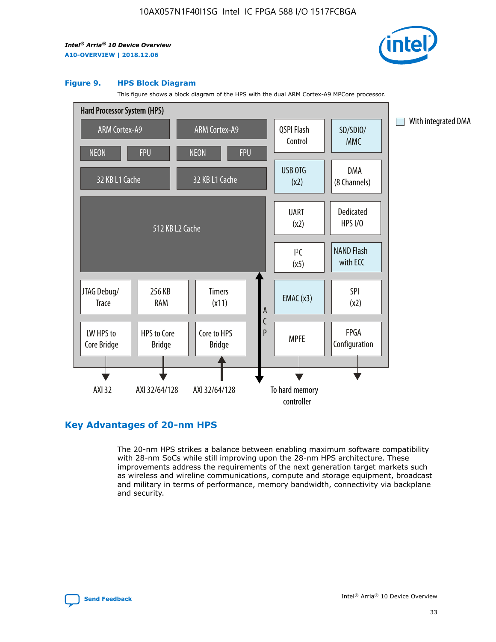

#### **Figure 9. HPS Block Diagram**

This figure shows a block diagram of the HPS with the dual ARM Cortex-A9 MPCore processor.



## **Key Advantages of 20-nm HPS**

The 20-nm HPS strikes a balance between enabling maximum software compatibility with 28-nm SoCs while still improving upon the 28-nm HPS architecture. These improvements address the requirements of the next generation target markets such as wireless and wireline communications, compute and storage equipment, broadcast and military in terms of performance, memory bandwidth, connectivity via backplane and security.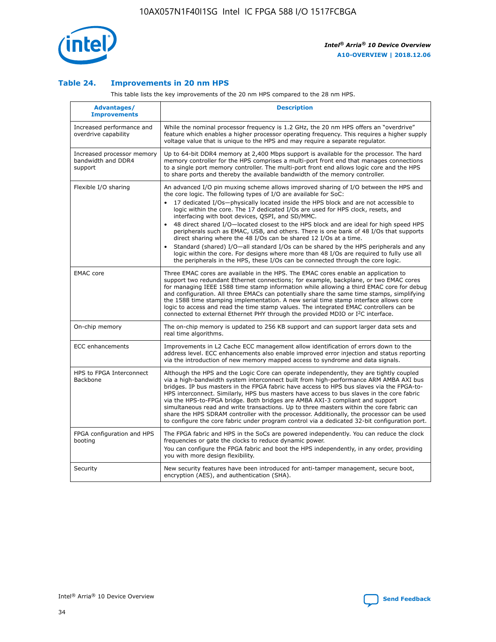

## **Table 24. Improvements in 20 nm HPS**

This table lists the key improvements of the 20 nm HPS compared to the 28 nm HPS.

| Advantages/<br><b>Improvements</b>                          | <b>Description</b>                                                                                                                                                                                                                                                                                                                                                                                                                                                                                                                                                                                                                                                                                                                                                                                                                                                                                                      |
|-------------------------------------------------------------|-------------------------------------------------------------------------------------------------------------------------------------------------------------------------------------------------------------------------------------------------------------------------------------------------------------------------------------------------------------------------------------------------------------------------------------------------------------------------------------------------------------------------------------------------------------------------------------------------------------------------------------------------------------------------------------------------------------------------------------------------------------------------------------------------------------------------------------------------------------------------------------------------------------------------|
| Increased performance and<br>overdrive capability           | While the nominal processor frequency is 1.2 GHz, the 20 nm HPS offers an "overdrive"<br>feature which enables a higher processor operating frequency. This requires a higher supply<br>voltage value that is unique to the HPS and may require a separate regulator.                                                                                                                                                                                                                                                                                                                                                                                                                                                                                                                                                                                                                                                   |
| Increased processor memory<br>bandwidth and DDR4<br>support | Up to 64-bit DDR4 memory at 2,400 Mbps support is available for the processor. The hard<br>memory controller for the HPS comprises a multi-port front end that manages connections<br>to a single port memory controller. The multi-port front end allows logic core and the HPS<br>to share ports and thereby the available bandwidth of the memory controller.                                                                                                                                                                                                                                                                                                                                                                                                                                                                                                                                                        |
| Flexible I/O sharing                                        | An advanced I/O pin muxing scheme allows improved sharing of I/O between the HPS and<br>the core logic. The following types of I/O are available for SoC:<br>17 dedicated I/Os-physically located inside the HPS block and are not accessible to<br>logic within the core. The 17 dedicated I/Os are used for HPS clock, resets, and<br>interfacing with boot devices, QSPI, and SD/MMC.<br>48 direct shared I/O-located closest to the HPS block and are ideal for high speed HPS<br>peripherals such as EMAC, USB, and others. There is one bank of 48 I/Os that supports<br>direct sharing where the 48 I/Os can be shared 12 I/Os at a time.<br>Standard (shared) I/O—all standard I/Os can be shared by the HPS peripherals and any<br>logic within the core. For designs where more than 48 I/Os are required to fully use all<br>the peripherals in the HPS, these I/Os can be connected through the core logic. |
| <b>EMAC</b> core                                            | Three EMAC cores are available in the HPS. The EMAC cores enable an application to<br>support two redundant Ethernet connections; for example, backplane, or two EMAC cores<br>for managing IEEE 1588 time stamp information while allowing a third EMAC core for debug<br>and configuration. All three EMACs can potentially share the same time stamps, simplifying<br>the 1588 time stamping implementation. A new serial time stamp interface allows core<br>logic to access and read the time stamp values. The integrated EMAC controllers can be<br>connected to external Ethernet PHY through the provided MDIO or I <sup>2</sup> C interface.                                                                                                                                                                                                                                                                  |
| On-chip memory                                              | The on-chip memory is updated to 256 KB support and can support larger data sets and<br>real time algorithms.                                                                                                                                                                                                                                                                                                                                                                                                                                                                                                                                                                                                                                                                                                                                                                                                           |
| <b>ECC</b> enhancements                                     | Improvements in L2 Cache ECC management allow identification of errors down to the<br>address level. ECC enhancements also enable improved error injection and status reporting<br>via the introduction of new memory mapped access to syndrome and data signals.                                                                                                                                                                                                                                                                                                                                                                                                                                                                                                                                                                                                                                                       |
| HPS to FPGA Interconnect<br><b>Backbone</b>                 | Although the HPS and the Logic Core can operate independently, they are tightly coupled<br>via a high-bandwidth system interconnect built from high-performance ARM AMBA AXI bus<br>bridges. IP bus masters in the FPGA fabric have access to HPS bus slaves via the FPGA-to-<br>HPS interconnect. Similarly, HPS bus masters have access to bus slaves in the core fabric<br>via the HPS-to-FPGA bridge. Both bridges are AMBA AXI-3 compliant and support<br>simultaneous read and write transactions. Up to three masters within the core fabric can<br>share the HPS SDRAM controller with the processor. Additionally, the processor can be used<br>to configure the core fabric under program control via a dedicated 32-bit configuration port.                                                                                                                                                                  |
| FPGA configuration and HPS<br>booting                       | The FPGA fabric and HPS in the SoCs are powered independently. You can reduce the clock<br>frequencies or gate the clocks to reduce dynamic power.<br>You can configure the FPGA fabric and boot the HPS independently, in any order, providing<br>you with more design flexibility.                                                                                                                                                                                                                                                                                                                                                                                                                                                                                                                                                                                                                                    |
| Security                                                    | New security features have been introduced for anti-tamper management, secure boot,<br>encryption (AES), and authentication (SHA).                                                                                                                                                                                                                                                                                                                                                                                                                                                                                                                                                                                                                                                                                                                                                                                      |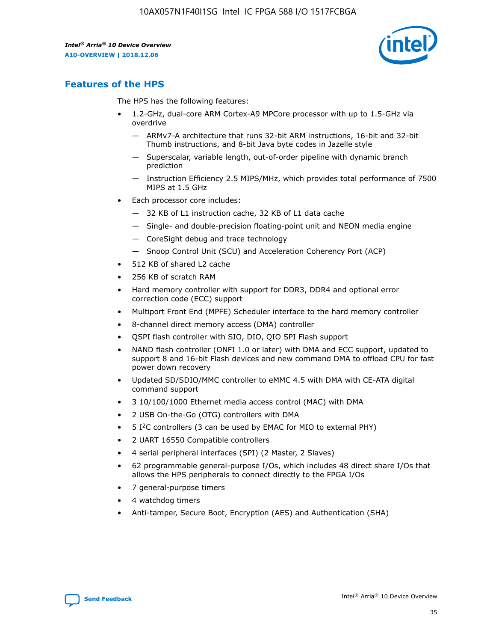

## **Features of the HPS**

The HPS has the following features:

- 1.2-GHz, dual-core ARM Cortex-A9 MPCore processor with up to 1.5-GHz via overdrive
	- ARMv7-A architecture that runs 32-bit ARM instructions, 16-bit and 32-bit Thumb instructions, and 8-bit Java byte codes in Jazelle style
	- Superscalar, variable length, out-of-order pipeline with dynamic branch prediction
	- Instruction Efficiency 2.5 MIPS/MHz, which provides total performance of 7500 MIPS at 1.5 GHz
- Each processor core includes:
	- 32 KB of L1 instruction cache, 32 KB of L1 data cache
	- Single- and double-precision floating-point unit and NEON media engine
	- CoreSight debug and trace technology
	- Snoop Control Unit (SCU) and Acceleration Coherency Port (ACP)
- 512 KB of shared L2 cache
- 256 KB of scratch RAM
- Hard memory controller with support for DDR3, DDR4 and optional error correction code (ECC) support
- Multiport Front End (MPFE) Scheduler interface to the hard memory controller
- 8-channel direct memory access (DMA) controller
- QSPI flash controller with SIO, DIO, QIO SPI Flash support
- NAND flash controller (ONFI 1.0 or later) with DMA and ECC support, updated to support 8 and 16-bit Flash devices and new command DMA to offload CPU for fast power down recovery
- Updated SD/SDIO/MMC controller to eMMC 4.5 with DMA with CE-ATA digital command support
- 3 10/100/1000 Ethernet media access control (MAC) with DMA
- 2 USB On-the-Go (OTG) controllers with DMA
- $\bullet$  5 I<sup>2</sup>C controllers (3 can be used by EMAC for MIO to external PHY)
- 2 UART 16550 Compatible controllers
- 4 serial peripheral interfaces (SPI) (2 Master, 2 Slaves)
- 62 programmable general-purpose I/Os, which includes 48 direct share I/Os that allows the HPS peripherals to connect directly to the FPGA I/Os
- 7 general-purpose timers
- 4 watchdog timers
- Anti-tamper, Secure Boot, Encryption (AES) and Authentication (SHA)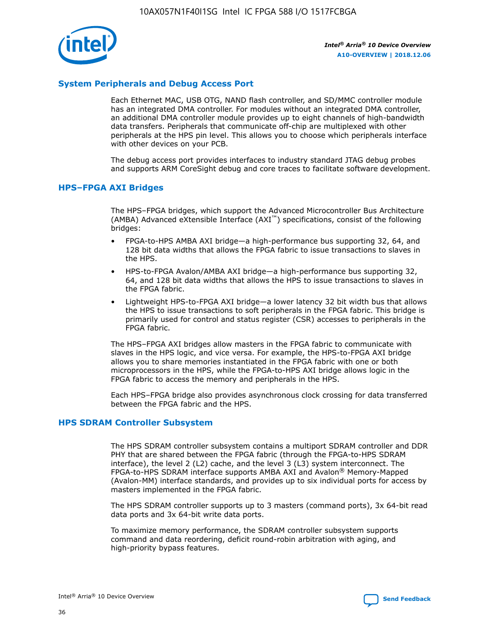

## **System Peripherals and Debug Access Port**

Each Ethernet MAC, USB OTG, NAND flash controller, and SD/MMC controller module has an integrated DMA controller. For modules without an integrated DMA controller, an additional DMA controller module provides up to eight channels of high-bandwidth data transfers. Peripherals that communicate off-chip are multiplexed with other peripherals at the HPS pin level. This allows you to choose which peripherals interface with other devices on your PCB.

The debug access port provides interfaces to industry standard JTAG debug probes and supports ARM CoreSight debug and core traces to facilitate software development.

## **HPS–FPGA AXI Bridges**

The HPS–FPGA bridges, which support the Advanced Microcontroller Bus Architecture (AMBA) Advanced eXtensible Interface (AXI™) specifications, consist of the following bridges:

- FPGA-to-HPS AMBA AXI bridge—a high-performance bus supporting 32, 64, and 128 bit data widths that allows the FPGA fabric to issue transactions to slaves in the HPS.
- HPS-to-FPGA Avalon/AMBA AXI bridge—a high-performance bus supporting 32, 64, and 128 bit data widths that allows the HPS to issue transactions to slaves in the FPGA fabric.
- Lightweight HPS-to-FPGA AXI bridge—a lower latency 32 bit width bus that allows the HPS to issue transactions to soft peripherals in the FPGA fabric. This bridge is primarily used for control and status register (CSR) accesses to peripherals in the FPGA fabric.

The HPS–FPGA AXI bridges allow masters in the FPGA fabric to communicate with slaves in the HPS logic, and vice versa. For example, the HPS-to-FPGA AXI bridge allows you to share memories instantiated in the FPGA fabric with one or both microprocessors in the HPS, while the FPGA-to-HPS AXI bridge allows logic in the FPGA fabric to access the memory and peripherals in the HPS.

Each HPS–FPGA bridge also provides asynchronous clock crossing for data transferred between the FPGA fabric and the HPS.

## **HPS SDRAM Controller Subsystem**

The HPS SDRAM controller subsystem contains a multiport SDRAM controller and DDR PHY that are shared between the FPGA fabric (through the FPGA-to-HPS SDRAM interface), the level 2 (L2) cache, and the level 3 (L3) system interconnect. The FPGA-to-HPS SDRAM interface supports AMBA AXI and Avalon® Memory-Mapped (Avalon-MM) interface standards, and provides up to six individual ports for access by masters implemented in the FPGA fabric.

The HPS SDRAM controller supports up to 3 masters (command ports), 3x 64-bit read data ports and 3x 64-bit write data ports.

To maximize memory performance, the SDRAM controller subsystem supports command and data reordering, deficit round-robin arbitration with aging, and high-priority bypass features.

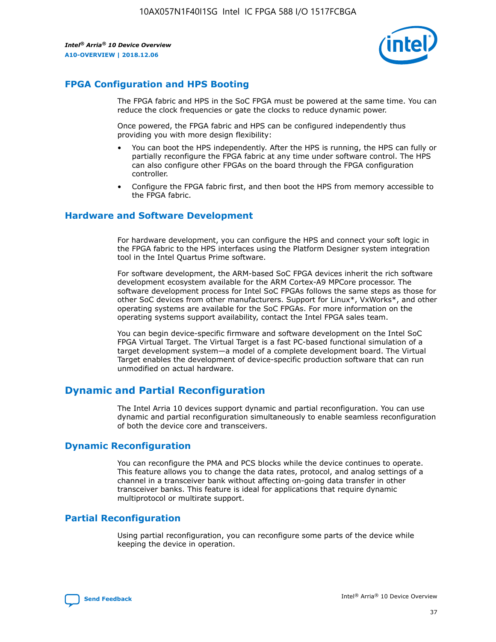

## **FPGA Configuration and HPS Booting**

The FPGA fabric and HPS in the SoC FPGA must be powered at the same time. You can reduce the clock frequencies or gate the clocks to reduce dynamic power.

Once powered, the FPGA fabric and HPS can be configured independently thus providing you with more design flexibility:

- You can boot the HPS independently. After the HPS is running, the HPS can fully or partially reconfigure the FPGA fabric at any time under software control. The HPS can also configure other FPGAs on the board through the FPGA configuration controller.
- Configure the FPGA fabric first, and then boot the HPS from memory accessible to the FPGA fabric.

## **Hardware and Software Development**

For hardware development, you can configure the HPS and connect your soft logic in the FPGA fabric to the HPS interfaces using the Platform Designer system integration tool in the Intel Quartus Prime software.

For software development, the ARM-based SoC FPGA devices inherit the rich software development ecosystem available for the ARM Cortex-A9 MPCore processor. The software development process for Intel SoC FPGAs follows the same steps as those for other SoC devices from other manufacturers. Support for Linux\*, VxWorks\*, and other operating systems are available for the SoC FPGAs. For more information on the operating systems support availability, contact the Intel FPGA sales team.

You can begin device-specific firmware and software development on the Intel SoC FPGA Virtual Target. The Virtual Target is a fast PC-based functional simulation of a target development system—a model of a complete development board. The Virtual Target enables the development of device-specific production software that can run unmodified on actual hardware.

## **Dynamic and Partial Reconfiguration**

The Intel Arria 10 devices support dynamic and partial reconfiguration. You can use dynamic and partial reconfiguration simultaneously to enable seamless reconfiguration of both the device core and transceivers.

## **Dynamic Reconfiguration**

You can reconfigure the PMA and PCS blocks while the device continues to operate. This feature allows you to change the data rates, protocol, and analog settings of a channel in a transceiver bank without affecting on-going data transfer in other transceiver banks. This feature is ideal for applications that require dynamic multiprotocol or multirate support.

## **Partial Reconfiguration**

Using partial reconfiguration, you can reconfigure some parts of the device while keeping the device in operation.

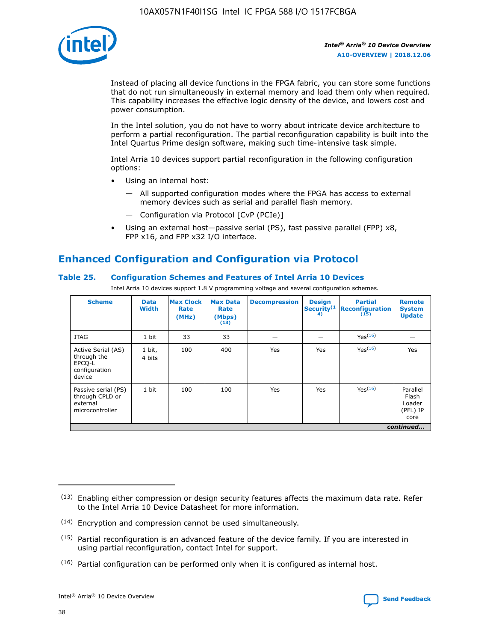

Instead of placing all device functions in the FPGA fabric, you can store some functions that do not run simultaneously in external memory and load them only when required. This capability increases the effective logic density of the device, and lowers cost and power consumption.

In the Intel solution, you do not have to worry about intricate device architecture to perform a partial reconfiguration. The partial reconfiguration capability is built into the Intel Quartus Prime design software, making such time-intensive task simple.

Intel Arria 10 devices support partial reconfiguration in the following configuration options:

- Using an internal host:
	- All supported configuration modes where the FPGA has access to external memory devices such as serial and parallel flash memory.
	- Configuration via Protocol [CvP (PCIe)]
- Using an external host—passive serial (PS), fast passive parallel (FPP) x8, FPP x16, and FPP x32 I/O interface.

## **Enhanced Configuration and Configuration via Protocol**

## **Table 25. Configuration Schemes and Features of Intel Arria 10 Devices**

Intel Arria 10 devices support 1.8 V programming voltage and several configuration schemes.

| <b>Scheme</b>                                                          | <b>Data</b><br><b>Width</b> | <b>Max Clock</b><br>Rate<br>(MHz) | <b>Max Data</b><br>Rate<br>(Mbps)<br>(13) | <b>Decompression</b> | <b>Design</b><br>Security <sup>(1</sup><br>4) | <b>Partial</b><br>Reconfiguration<br>(15) | <b>Remote</b><br><b>System</b><br><b>Update</b> |
|------------------------------------------------------------------------|-----------------------------|-----------------------------------|-------------------------------------------|----------------------|-----------------------------------------------|-------------------------------------------|-------------------------------------------------|
| <b>JTAG</b>                                                            | 1 bit                       | 33                                | 33                                        |                      |                                               | Yes(16)                                   |                                                 |
| Active Serial (AS)<br>through the<br>EPCO-L<br>configuration<br>device | 1 bit,<br>4 bits            | 100                               | 400                                       | Yes                  | Yes                                           | Yes(16)                                   | Yes                                             |
| Passive serial (PS)<br>through CPLD or<br>external<br>microcontroller  | 1 bit                       | 100                               | 100                                       | Yes                  | Yes                                           | Yes <sup>(16)</sup>                       | Parallel<br>Flash<br>Loader<br>(PFL) IP<br>core |
|                                                                        |                             |                                   |                                           |                      |                                               |                                           | continued                                       |

<sup>(13)</sup> Enabling either compression or design security features affects the maximum data rate. Refer to the Intel Arria 10 Device Datasheet for more information.

<sup>(14)</sup> Encryption and compression cannot be used simultaneously.

 $(15)$  Partial reconfiguration is an advanced feature of the device family. If you are interested in using partial reconfiguration, contact Intel for support.

 $(16)$  Partial configuration can be performed only when it is configured as internal host.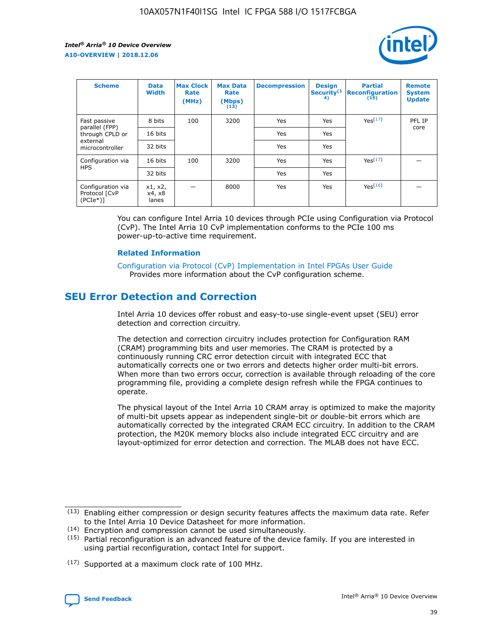

| <b>Scheme</b>                                   | <b>Data</b><br><b>Width</b> | <b>Max Clock</b><br>Rate<br>(MHz) | <b>Max Data</b><br>Rate<br>(Mbps)<br>(13) | <b>Decompression</b> | <b>Design</b><br>Security <sup>(1</sup><br>4) | <b>Partial</b><br><b>Reconfiguration</b><br>(15) | <b>Remote</b><br><b>System</b><br><b>Update</b> |
|-------------------------------------------------|-----------------------------|-----------------------------------|-------------------------------------------|----------------------|-----------------------------------------------|--------------------------------------------------|-------------------------------------------------|
| Fast passive                                    | 8 bits                      | 100                               | 3200                                      | Yes                  | Yes                                           | Yes(17)                                          | PFL IP                                          |
| parallel (FPP)<br>through CPLD or               | 16 bits                     |                                   |                                           | Yes                  | Yes                                           |                                                  | core                                            |
| external<br>microcontroller                     | 32 bits                     |                                   |                                           | Yes                  | Yes                                           |                                                  |                                                 |
| Configuration via                               | 16 bits                     | 100                               | 3200                                      | Yes                  | Yes                                           | Yes <sup>(17)</sup>                              |                                                 |
| <b>HPS</b>                                      | 32 bits                     |                                   |                                           | Yes                  | Yes                                           |                                                  |                                                 |
| Configuration via<br>Protocol [CvP<br>$(PCIe*)$ | x1, x2,<br>x4, x8<br>lanes  |                                   | 8000                                      | Yes                  | Yes                                           | Yes <sup>(16)</sup>                              |                                                 |

You can configure Intel Arria 10 devices through PCIe using Configuration via Protocol (CvP). The Intel Arria 10 CvP implementation conforms to the PCIe 100 ms power-up-to-active time requirement.

#### **Related Information**

[Configuration via Protocol \(CvP\) Implementation in Intel FPGAs User Guide](https://www.intel.com/content/www/us/en/programmable/documentation/dsu1441819344145.html#dsu1442269728522) Provides more information about the CvP configuration scheme.

## **SEU Error Detection and Correction**

Intel Arria 10 devices offer robust and easy-to-use single-event upset (SEU) error detection and correction circuitry.

The detection and correction circuitry includes protection for Configuration RAM (CRAM) programming bits and user memories. The CRAM is protected by a continuously running CRC error detection circuit with integrated ECC that automatically corrects one or two errors and detects higher order multi-bit errors. When more than two errors occur, correction is available through reloading of the core programming file, providing a complete design refresh while the FPGA continues to operate.

The physical layout of the Intel Arria 10 CRAM array is optimized to make the majority of multi-bit upsets appear as independent single-bit or double-bit errors which are automatically corrected by the integrated CRAM ECC circuitry. In addition to the CRAM protection, the M20K memory blocks also include integrated ECC circuitry and are layout-optimized for error detection and correction. The MLAB does not have ECC.

(14) Encryption and compression cannot be used simultaneously.

<sup>(17)</sup> Supported at a maximum clock rate of 100 MHz.



 $(13)$  Enabling either compression or design security features affects the maximum data rate. Refer to the Intel Arria 10 Device Datasheet for more information.

 $(15)$  Partial reconfiguration is an advanced feature of the device family. If you are interested in using partial reconfiguration, contact Intel for support.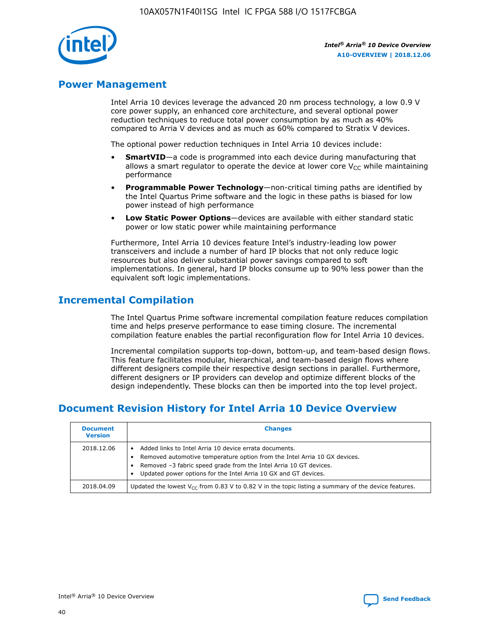

## **Power Management**

Intel Arria 10 devices leverage the advanced 20 nm process technology, a low 0.9 V core power supply, an enhanced core architecture, and several optional power reduction techniques to reduce total power consumption by as much as 40% compared to Arria V devices and as much as 60% compared to Stratix V devices.

The optional power reduction techniques in Intel Arria 10 devices include:

- **SmartVID**—a code is programmed into each device during manufacturing that allows a smart regulator to operate the device at lower core  $V_{CC}$  while maintaining performance
- **Programmable Power Technology**—non-critical timing paths are identified by the Intel Quartus Prime software and the logic in these paths is biased for low power instead of high performance
- **Low Static Power Options**—devices are available with either standard static power or low static power while maintaining performance

Furthermore, Intel Arria 10 devices feature Intel's industry-leading low power transceivers and include a number of hard IP blocks that not only reduce logic resources but also deliver substantial power savings compared to soft implementations. In general, hard IP blocks consume up to 90% less power than the equivalent soft logic implementations.

## **Incremental Compilation**

The Intel Quartus Prime software incremental compilation feature reduces compilation time and helps preserve performance to ease timing closure. The incremental compilation feature enables the partial reconfiguration flow for Intel Arria 10 devices.

Incremental compilation supports top-down, bottom-up, and team-based design flows. This feature facilitates modular, hierarchical, and team-based design flows where different designers compile their respective design sections in parallel. Furthermore, different designers or IP providers can develop and optimize different blocks of the design independently. These blocks can then be imported into the top level project.

## **Document Revision History for Intel Arria 10 Device Overview**

| <b>Document</b><br><b>Version</b> | <b>Changes</b>                                                                                                                                                                                                                                                              |
|-----------------------------------|-----------------------------------------------------------------------------------------------------------------------------------------------------------------------------------------------------------------------------------------------------------------------------|
| 2018.12.06                        | Added links to Intel Arria 10 device errata documents.<br>Removed automotive temperature option from the Intel Arria 10 GX devices.<br>Removed -3 fabric speed grade from the Intel Arria 10 GT devices.<br>Updated power options for the Intel Arria 10 GX and GT devices. |
| 2018.04.09                        | Updated the lowest $V_{CC}$ from 0.83 V to 0.82 V in the topic listing a summary of the device features.                                                                                                                                                                    |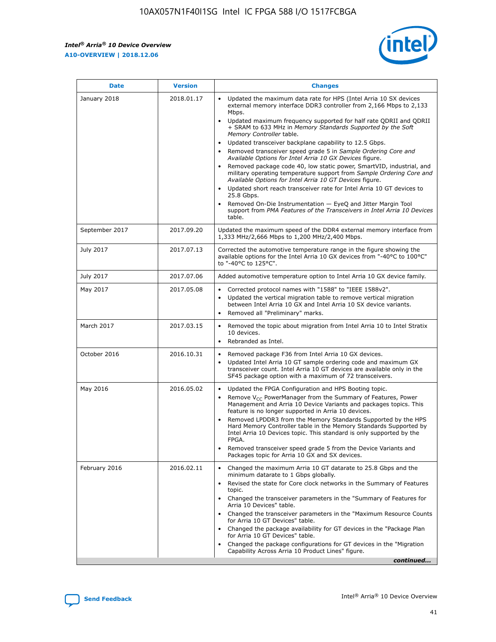

| <b>Date</b>    | <b>Version</b> | <b>Changes</b>                                                                                                                                                                                                                                                                                                                                                                                                                                                                                                                                                                                                                                                                                                                                                                                                                                                                                                                                               |
|----------------|----------------|--------------------------------------------------------------------------------------------------------------------------------------------------------------------------------------------------------------------------------------------------------------------------------------------------------------------------------------------------------------------------------------------------------------------------------------------------------------------------------------------------------------------------------------------------------------------------------------------------------------------------------------------------------------------------------------------------------------------------------------------------------------------------------------------------------------------------------------------------------------------------------------------------------------------------------------------------------------|
| January 2018   | 2018.01.17     | Updated the maximum data rate for HPS (Intel Arria 10 SX devices<br>external memory interface DDR3 controller from 2,166 Mbps to 2,133<br>Mbps.<br>Updated maximum frequency supported for half rate QDRII and QDRII<br>+ SRAM to 633 MHz in Memory Standards Supported by the Soft<br>Memory Controller table.<br>Updated transceiver backplane capability to 12.5 Gbps.<br>Removed transceiver speed grade 5 in Sample Ordering Core and<br>Available Options for Intel Arria 10 GX Devices figure.<br>Removed package code 40, low static power, SmartVID, industrial, and<br>military operating temperature support from Sample Ordering Core and<br>Available Options for Intel Arria 10 GT Devices figure.<br>Updated short reach transceiver rate for Intel Arria 10 GT devices to<br>25.8 Gbps.<br>Removed On-Die Instrumentation - EyeQ and Jitter Margin Tool<br>support from PMA Features of the Transceivers in Intel Arria 10 Devices<br>table. |
| September 2017 | 2017.09.20     | Updated the maximum speed of the DDR4 external memory interface from<br>1,333 MHz/2,666 Mbps to 1,200 MHz/2,400 Mbps.                                                                                                                                                                                                                                                                                                                                                                                                                                                                                                                                                                                                                                                                                                                                                                                                                                        |
| July 2017      | 2017.07.13     | Corrected the automotive temperature range in the figure showing the<br>available options for the Intel Arria 10 GX devices from "-40°C to 100°C"<br>to "-40°C to 125°C".                                                                                                                                                                                                                                                                                                                                                                                                                                                                                                                                                                                                                                                                                                                                                                                    |
| July 2017      | 2017.07.06     | Added automotive temperature option to Intel Arria 10 GX device family.                                                                                                                                                                                                                                                                                                                                                                                                                                                                                                                                                                                                                                                                                                                                                                                                                                                                                      |
| May 2017       | 2017.05.08     | Corrected protocol names with "1588" to "IEEE 1588v2".<br>Updated the vertical migration table to remove vertical migration<br>$\bullet$<br>between Intel Arria 10 GX and Intel Arria 10 SX device variants.<br>Removed all "Preliminary" marks.                                                                                                                                                                                                                                                                                                                                                                                                                                                                                                                                                                                                                                                                                                             |
| March 2017     | 2017.03.15     | Removed the topic about migration from Intel Arria 10 to Intel Stratix<br>10 devices.<br>Rebranded as Intel.<br>$\bullet$                                                                                                                                                                                                                                                                                                                                                                                                                                                                                                                                                                                                                                                                                                                                                                                                                                    |
| October 2016   | 2016.10.31     | Removed package F36 from Intel Arria 10 GX devices.<br>Updated Intel Arria 10 GT sample ordering code and maximum GX<br>$\bullet$<br>transceiver count. Intel Arria 10 GT devices are available only in the<br>SF45 package option with a maximum of 72 transceivers.                                                                                                                                                                                                                                                                                                                                                                                                                                                                                                                                                                                                                                                                                        |
| May 2016       | 2016.05.02     | Updated the FPGA Configuration and HPS Booting topic.<br>$\bullet$<br>Remove V <sub>CC</sub> PowerManager from the Summary of Features, Power<br>Management and Arria 10 Device Variants and packages topics. This<br>feature is no longer supported in Arria 10 devices.<br>Removed LPDDR3 from the Memory Standards Supported by the HPS<br>Hard Memory Controller table in the Memory Standards Supported by<br>Intel Arria 10 Devices topic. This standard is only supported by the<br>FPGA.<br>Removed transceiver speed grade 5 from the Device Variants and<br>Packages topic for Arria 10 GX and SX devices.                                                                                                                                                                                                                                                                                                                                         |
| February 2016  | 2016.02.11     | Changed the maximum Arria 10 GT datarate to 25.8 Gbps and the<br>minimum datarate to 1 Gbps globally.<br>Revised the state for Core clock networks in the Summary of Features<br>topic.<br>Changed the transceiver parameters in the "Summary of Features for<br>Arria 10 Devices" table.<br>Changed the transceiver parameters in the "Maximum Resource Counts"<br>for Arria 10 GT Devices" table.<br>Changed the package availability for GT devices in the "Package Plan<br>for Arria 10 GT Devices" table.<br>Changed the package configurations for GT devices in the "Migration"<br>Capability Across Arria 10 Product Lines" figure.<br>continued                                                                                                                                                                                                                                                                                                     |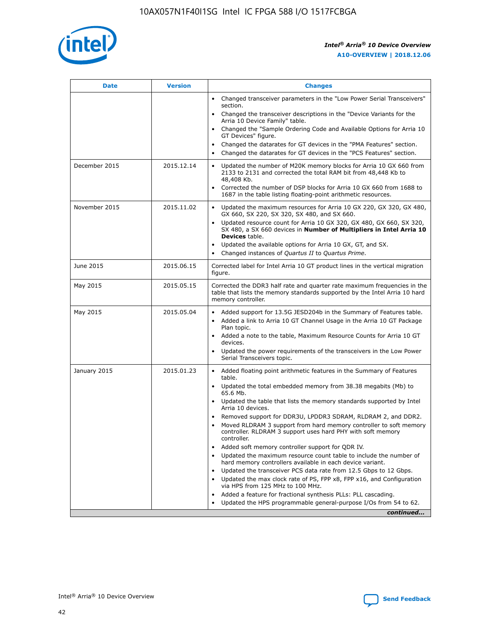

| <b>Date</b>   | <b>Version</b> | <b>Changes</b>                                                                                                                                                               |
|---------------|----------------|------------------------------------------------------------------------------------------------------------------------------------------------------------------------------|
|               |                | • Changed transceiver parameters in the "Low Power Serial Transceivers"<br>section.                                                                                          |
|               |                | • Changed the transceiver descriptions in the "Device Variants for the<br>Arria 10 Device Family" table.                                                                     |
|               |                | Changed the "Sample Ordering Code and Available Options for Arria 10<br>$\bullet$<br>GT Devices" figure.                                                                     |
|               |                | Changed the datarates for GT devices in the "PMA Features" section.                                                                                                          |
|               |                | Changed the datarates for GT devices in the "PCS Features" section.<br>$\bullet$                                                                                             |
| December 2015 | 2015.12.14     | Updated the number of M20K memory blocks for Arria 10 GX 660 from<br>2133 to 2131 and corrected the total RAM bit from 48,448 Kb to<br>48,408 Kb.                            |
|               |                | Corrected the number of DSP blocks for Arria 10 GX 660 from 1688 to<br>1687 in the table listing floating-point arithmetic resources.                                        |
| November 2015 | 2015.11.02     | Updated the maximum resources for Arria 10 GX 220, GX 320, GX 480,<br>$\bullet$<br>GX 660, SX 220, SX 320, SX 480, and SX 660.                                               |
|               |                | • Updated resource count for Arria 10 GX 320, GX 480, GX 660, SX 320,<br>SX 480, a SX 660 devices in Number of Multipliers in Intel Arria 10<br><b>Devices</b> table.        |
|               |                | Updated the available options for Arria 10 GX, GT, and SX.                                                                                                                   |
|               |                | Changed instances of Quartus II to Quartus Prime.<br>$\bullet$                                                                                                               |
| June 2015     | 2015.06.15     | Corrected label for Intel Arria 10 GT product lines in the vertical migration<br>figure.                                                                                     |
| May 2015      | 2015.05.15     | Corrected the DDR3 half rate and quarter rate maximum frequencies in the<br>table that lists the memory standards supported by the Intel Arria 10 hard<br>memory controller. |
| May 2015      | 2015.05.04     | • Added support for 13.5G JESD204b in the Summary of Features table.<br>• Added a link to Arria 10 GT Channel Usage in the Arria 10 GT Package<br>Plan topic.                |
|               |                | • Added a note to the table, Maximum Resource Counts for Arria 10 GT<br>devices.                                                                                             |
|               |                | • Updated the power requirements of the transceivers in the Low Power<br>Serial Transceivers topic.                                                                          |
| January 2015  | 2015.01.23     | • Added floating point arithmetic features in the Summary of Features<br>table.                                                                                              |
|               |                | • Updated the total embedded memory from 38.38 megabits (Mb) to<br>65.6 Mb.                                                                                                  |
|               |                | • Updated the table that lists the memory standards supported by Intel<br>Arria 10 devices.                                                                                  |
|               |                | Removed support for DDR3U, LPDDR3 SDRAM, RLDRAM 2, and DDR2.                                                                                                                 |
|               |                | Moved RLDRAM 3 support from hard memory controller to soft memory<br>controller. RLDRAM 3 support uses hard PHY with soft memory<br>controller.                              |
|               |                | Added soft memory controller support for QDR IV.<br>٠                                                                                                                        |
|               |                | Updated the maximum resource count table to include the number of<br>hard memory controllers available in each device variant.                                               |
|               |                | Updated the transceiver PCS data rate from 12.5 Gbps to 12 Gbps.<br>$\bullet$                                                                                                |
|               |                | Updated the max clock rate of PS, FPP x8, FPP x16, and Configuration<br>via HPS from 125 MHz to 100 MHz.                                                                     |
|               |                | Added a feature for fractional synthesis PLLs: PLL cascading.                                                                                                                |
|               |                | Updated the HPS programmable general-purpose I/Os from 54 to 62.<br>$\bullet$<br>continued                                                                                   |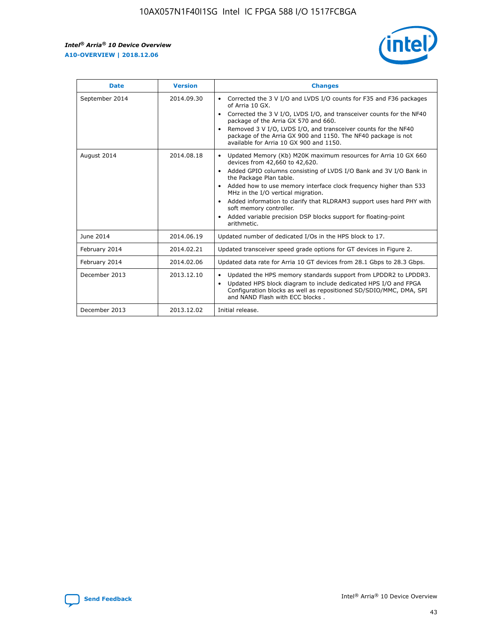r



| <b>Date</b>    | <b>Version</b> | <b>Changes</b>                                                                                                                                                                                                                                                                                                                                                                                                                                                                                                                                      |
|----------------|----------------|-----------------------------------------------------------------------------------------------------------------------------------------------------------------------------------------------------------------------------------------------------------------------------------------------------------------------------------------------------------------------------------------------------------------------------------------------------------------------------------------------------------------------------------------------------|
| September 2014 | 2014.09.30     | Corrected the 3 V I/O and LVDS I/O counts for F35 and F36 packages<br>$\bullet$<br>of Arria 10 GX.<br>Corrected the 3 V I/O, LVDS I/O, and transceiver counts for the NF40<br>$\bullet$<br>package of the Arria GX 570 and 660.<br>Removed 3 V I/O, LVDS I/O, and transceiver counts for the NF40<br>$\bullet$<br>package of the Arria GX 900 and 1150. The NF40 package is not<br>available for Arria 10 GX 900 and 1150.                                                                                                                          |
| August 2014    | 2014.08.18     | Updated Memory (Kb) M20K maximum resources for Arria 10 GX 660<br>devices from 42,660 to 42,620.<br>Added GPIO columns consisting of LVDS I/O Bank and 3V I/O Bank in<br>$\bullet$<br>the Package Plan table.<br>Added how to use memory interface clock frequency higher than 533<br>$\bullet$<br>MHz in the I/O vertical migration.<br>Added information to clarify that RLDRAM3 support uses hard PHY with<br>$\bullet$<br>soft memory controller.<br>Added variable precision DSP blocks support for floating-point<br>$\bullet$<br>arithmetic. |
| June 2014      | 2014.06.19     | Updated number of dedicated I/Os in the HPS block to 17.                                                                                                                                                                                                                                                                                                                                                                                                                                                                                            |
| February 2014  | 2014.02.21     | Updated transceiver speed grade options for GT devices in Figure 2.                                                                                                                                                                                                                                                                                                                                                                                                                                                                                 |
| February 2014  | 2014.02.06     | Updated data rate for Arria 10 GT devices from 28.1 Gbps to 28.3 Gbps.                                                                                                                                                                                                                                                                                                                                                                                                                                                                              |
| December 2013  | 2013.12.10     | Updated the HPS memory standards support from LPDDR2 to LPDDR3.<br>Updated HPS block diagram to include dedicated HPS I/O and FPGA<br>$\bullet$<br>Configuration blocks as well as repositioned SD/SDIO/MMC, DMA, SPI<br>and NAND Flash with ECC blocks.                                                                                                                                                                                                                                                                                            |
| December 2013  | 2013.12.02     | Initial release.                                                                                                                                                                                                                                                                                                                                                                                                                                                                                                                                    |